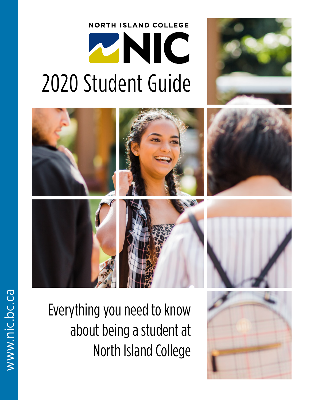# **NORTH ISLAND COLLEGE** ZNIC 2020 Student Guide







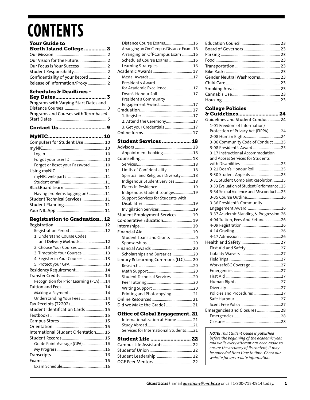# **CONTENTS**

### [Your Guide to](#page-2-0)

| <b>North Island College  2</b>   |  |
|----------------------------------|--|
|                                  |  |
|                                  |  |
|                                  |  |
|                                  |  |
| Confidentiality of your Record 2 |  |
| Release of Information/Proxy 2   |  |

### Schedules & Deadlines -

| Programs with Varying Start Dates and<br>Programs and Courses with Term-based |  |
|-------------------------------------------------------------------------------|--|
|                                                                               |  |
|                                                                               |  |
| Computers for Student Use 10                                                  |  |
|                                                                               |  |
|                                                                               |  |

| Forgot or Reset your Password10 |
|---------------------------------|
|                                 |
|                                 |
|                                 |
|                                 |
| Having problems logging on? 11  |
| Student Technical Services  11  |
|                                 |
|                                 |
|                                 |

### [Registration to Graduation..](#page-12-0) 12

| 1. Understand Course Codes             |  |
|----------------------------------------|--|
| and Delivery Methods12                 |  |
| 2. Choose Your Courses 13              |  |
| 3. Timetable Your Courses 13           |  |
| 4. Register in Your Courses 13         |  |
|                                        |  |
| Residency Requirement  14              |  |
|                                        |  |
| Recognition for Prior Learning (PLA)14 |  |
|                                        |  |
|                                        |  |
| Understanding Your Fees 14             |  |
| Tax Receipts (T2202) 15                |  |
| Student Identification Cards  15       |  |
|                                        |  |
|                                        |  |
|                                        |  |
| International Student Orientation 15   |  |
|                                        |  |
| Grade Point Average (GPA)16            |  |
|                                        |  |
|                                        |  |
|                                        |  |
|                                        |  |

| Arranging an On-Campus Distance Exam. 16 |
|------------------------------------------|
| Arranging an Off-Campus Exam 16          |
| Scheduled Course Exams 16                |
|                                          |
|                                          |
|                                          |
| President's Award                        |
| for Academic Excellence 17               |
|                                          |
| President's Community                    |
|                                          |
|                                          |
|                                          |
| 2. Attend the Ceremony17                 |
| 3. Get your Credentials 17               |
|                                          |
|                                          |
| <b>Student Services  18</b>              |
|                                          |
| Appointment booking18                    |
|                                          |
|                                          |
| Limits of Confidentiality18              |
| Spiritual and Religious Diversity18      |
| Indigenous Student Services 18           |
|                                          |
| Indigenous Student Lounges19             |
| Support Services for Students with       |
|                                          |
|                                          |
| Student Employment Services 19           |
| Co-operative Education 19                |
|                                          |
|                                          |
| Student Loans and Grants  0              |
|                                          |
|                                          |
|                                          |
| Scholarships and Bursaries20             |
| Library & Learning Commons (LLC) 20      |
|                                          |
|                                          |
| Student Technical Services 20            |
|                                          |
|                                          |
| Printing and Photocopying21              |
|                                          |
| Did we Make the Grade?  21               |
| <b>Office of Global Engagement. 21</b>   |
| Internationalization at Home 21          |
|                                          |
| Services for International Students21    |
|                                          |
| <b>Student Life  22</b>                  |
| Campus Life Assistants  22               |
|                                          |
| Student Leadership  22                   |

| Gender Neutral Washrooms 23 |  |
|-----------------------------|--|
|                             |  |
|                             |  |
|                             |  |
|                             |  |

## [College Policies](#page-24-0)

| & Guidelines 24                          |
|------------------------------------------|
| Guidelines and Student Conduct 24        |
| 1-01 Freedom of Information/             |
| Protection of Privacy Act (FIPPA) 24     |
|                                          |
| 3-06 Community Code of Conduct25         |
| 3-08 President's Award 25                |
| 3-17 Instructional Accommodation         |
| and Access Services for Students         |
|                                          |
| 3-21 Dean's Honour Roll 25               |
| 3-30 Student Appeals 25                  |
| 3-31 Student Complaint Resolution25      |
| 3-33 Evaluation of Student Performance25 |
| 3-34 Sexual Violence and Misconduct25    |
|                                          |
| 3-36 President's Community               |
|                                          |
| 3-37 Academic Standing & Progression.26  |
| 4-04 Tuition, Fees And Refunds 26        |
|                                          |
|                                          |
|                                          |
|                                          |
|                                          |
|                                          |
|                                          |
| WorksafeBC Coverage 27                   |
|                                          |
|                                          |
|                                          |
|                                          |
| Policies and Procedures 27               |
|                                          |
|                                          |
| Emergencies and Closures  28             |
|                                          |
|                                          |

*NOTE: This Student Guide is published before the beginning of the academic year, and while every attempt has been made to ensure the accuracy of its content, it may be amended from time to time. Check our website for up-to-date information.*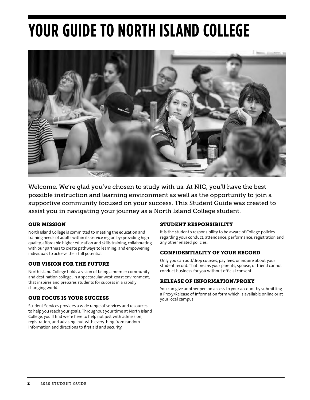# <span id="page-2-0"></span>**YOUR GUIDE TO NORTH ISLAND COLLEGE**



Welcome. We're glad you've chosen to study with us. At NIC, you'll have the best possible instruction and learning environment as well as the opportunity to join a supportive community focused on your success. This Student Guide was created to assist you in navigating your journey as a North Island College student.

### OUR MISSION

North Island College is committed to meeting the education and training needs of adults within its service region by: providing high quality, affordable higher education and skills training, collaborating with our partners to create pathways to learning, and empowering individuals to achieve their full potential.

### OUR VISION FOR THE FUTURE

North Island College holds a vision of being a premier community and destination college, in a spectacular west-coast environment, that inspires and prepares students for success in a rapidly changing world.

### OUR FOCUS IS YOUR SUCCESS

Student Services provides a wide range of services and resources to help you reach your goals. Throughout your time at North Island College, you'll find we're here to help not just with admission, registration, and advising, but with everything from random information and directions to first aid and security.

### STUDENT RESPONSIBILITY

It is the student's responsibility to be aware of College policies regarding your conduct, attendance, performance, registration and any other related policies.

### CONFIDENTIALITY OF YOUR RECORD

Only you can add/drop courses, pay fees, or inquire about your student record. That means your parents, spouse, or friend cannot conduct business for you without official consent.

### RELEASE OF INFORMATION/PROXY

You can give another person access to your account by submitting a Proxy/Release of Information form which is available online or at your local campus.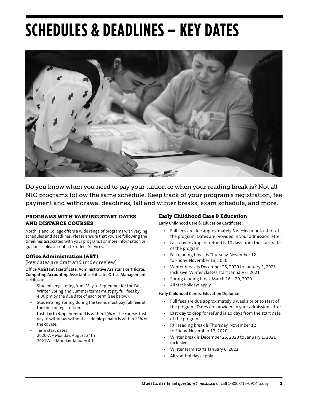# <span id="page-3-0"></span>**SCHEDULES & DEADLINES – KEY DATES**



Do you know when you need to pay your tuition or when your reading break is? Not all NIC programs follow the same schedule. Keep track of your program's registration, fee payment and withdrawal deadlines, fall and winter breaks, exam schedule, and more.

#### PROGRAMS WITH VARYING START DATES AND DISTANCE COURSES

North Island College offers a wide range of programs with varying schedules and deadlines. Please ensure that you are following the timelines associated with your program. For more information or guidance, please contact Student Services.

#### Office Administration (ABT)

(key dates are draft and under review)

**Office Assistant I certificate, Administrative Assistant certificate, Computing Accounting Assistant certificate, Office Management certificate:**

- Students registering from May to September for the Fall, Winter, Spring and Summer terms must pay full fees by 4:00 pm by the due date of each term (see below).
- Students registering during the terms must pay full fees at the time of registration.
- Last day to drop for refund is within 10% of the course. Last day to withdraw without academic penalty is within 25% of the course.
- Term start dates: 2020FA – Monday, August 24th 2021WI – Monday, January 4th

#### Early Childhood Care & Education

E**arly Childhood Care & Education Certificate:**

- Full fees are due approximately 3 weeks prior to start of the program. Dates are provided in your admission letter.
- Last day to drop for refund is 10 days from the start date of the program.
- Fall reading break is Thursday, November 12 to Friday, November 13, 2020.
- Winter break is December 25, 2020 to January 1, 2021 inclusive. Winter classes start January 6, 2021.
- Spring reading break March 16 20, 2020
- All stat holidays apply.

#### E**arly Childhood Care & Education Diploma:**

- Full fees are due approximately 3 weeks prior to start of the program. Dates are provided in your admission letter.
- Last day to drop for refund is 10 days from the start date of the program.
- Fall reading break is Thursday, November 12 to Friday, November 13, 2020.
- Winter break is December 25, 2020 to January 1, 2021 inclusive.
- Winter term starts January 6, 2021.
- All stat holidays apply.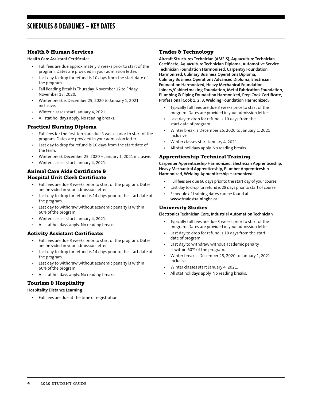#### <span id="page-4-0"></span>Health & Human Services

**Health Care Assistant Certificate:**

- Full fees are due approximately 3 weeks prior to start of the program. Dates are provided in your admission letter.
- Last day to drop for refund is 10 days from the start date of the program.
- Fall Reading Break is Thursday, November 12 to Friday, November 13, 2020.
- Winter break is December 25, 2020 to January 1, 2021 inclusive.
- Winter classes start January 4, 2021.
- All stat holidays apply. No reading breaks.

#### Practical Nursing Diploma

- Full fees for the first term are due 3 weeks prior to start of the program. Dates are provided in your admission letter.
- Last day to drop for refund is 10 days from the start date of the term.
- Winter break December 25, 2020 January 1, 2021 inclusive.
- Winter classes start January 4, 2021.

#### Animal Care Aide Certificate & Hospital Unit Clerk Certificate

- Full fees are due 3 weeks prior to start of the program. Dates are provided in your admission letter.
- Last day to drop for refund is 14 days prior to the start date of the program.
- Last day to withdraw without academic penalty is within 60% of the program.
- Winter classes start January 4, 2021.
- All stat holidays apply. No reading breaks.

#### Activity Assistant Certificate:

- Full fees are due 3 weeks prior to start of the program. Dates are provided in your admission letter.
- Last day to drop for refund is 14 days prior to the start date of the program.
- Last day to withdraw without academic penalty is within 60% of the program.
- All stat holidays apply. No reading breaks.

#### Tourism & Hospitality

#### **Hospitality Distance Learning:**

• Full fees are due at the time of registration.

#### Trades & Technology

**Aircraft Structures Technician (AME-S), Aquaculture Technician Certificate, Aquaculture Technician Diploma, Automotive Service Technician Foundation Harmonized, Carpentry Foundation Harmonized, Culinary Business Operations Diploma, Culinary Business Operations Advanced Diploma, Electrician Foundation Harmonized, Heavy Mechanical Foundation, Joinery/Cabinetmaking Foundation, Metal Fabrication Foundation, Plumbing & Piping Foundation Harmonized, Prep Cook Certificate, Professional Cook 1, 2, 3, Welding Foundation Harmonized:**

- Typically full fees are due 3 weeks prior to start of the program. Dates are provided in your admission letter.
- Last day to drop for refund is 10 days from the start date of program.
- Winter break is December 25, 2020 to January 1, 2021 inclusive.
- Winter classes start January 4, 2021.
- All stat holidays apply. No reading breaks.

#### Apprenticeship Technical Training

**Carpenter Apprenticeship Harmonized, Electrician Apprenticeship, Heavy Mechanical Apprenticeship, Plumber Apprenticeship Harmonized, Welding Apprenticeship Harmonized:**

- Full fees are due 60 days prior to the start day of your course.
- Last day to drop for refund is 28 days prior to start of course.
- Schedule of training dates can be found at **www.tradestrainingbc.ca**

#### University Studies

**Electronics Technician Core, Industrial Automation Technician**

- Typically full fees are due 3 weeks prior to start of the program. Dates are provided in your admission letter.
- Last day to drop for refund is 10 days from the start date of program.
- Last day to withdraw without academic penalty is within 60% of the program.
- Winter break is December 25, 2020 to January 1, 2021 inclusive.
- Winter classes start January 4, 2021.
- All stat holidays apply. No reading breaks.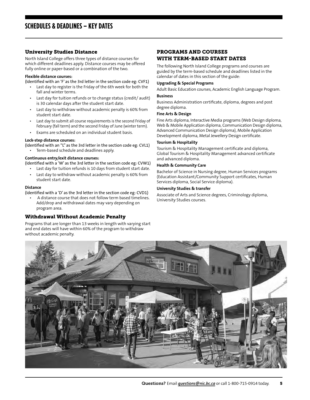#### University Studies Distance

North Island College offers three types of distance courses for which different deadlines apply. Distance courses may be offered fully online or paper-based or a combination of the two.

#### **Flexible distance courses:**

(Identified with an 'F' as the 3rd letter in the section code eg: CVF1)

- Last day to register is the Friday of the 6th week for both the fall and winter terms.
- Last day for tuition refunds or to change status (credit/ audit) is 30 calendar days after the student start date.
- Last day to withdraw without academic penalty is 60% from student start date.
- Last day to submit all course requirements is the second Friday of February (fall term) and the second Friday of June (winter term).
- Exams are scheduled on an individual student basis.

#### **Lock-step distance courses:**

(Identified with an "L" as the 3rd letter in the section code eg: CVL1)

• Term-based schedule and deadlines apply.

#### **Continuous entry/exit distance courses:**

- (Identified with a 'W' as the 3rd letter in the section code eg: CVW1)
	- Last day for tuition refunds is 10 days from student start date.
	- Last day to withdraw without academic penalty is 60% from student start date.

#### **Distance**

(Identified with a 'D' as the 3rd letter in the section code eg: CVD1)

A distance course that does not follow term based timelines. Add/drop and withdrawal dates may vary depending on program area.

#### Withdrawal Without Academic Penalty

Programs that are longer than 13 weeks in length with varying start and end dates will have within 60% of the program to withdraw without academic penalty.

#### PROGRAMS AND COURSES WITH TERM-BASED START DATES

The following North Island College programs and courses are guided by the term-based schedule and deadlines listed in the calendar of dates in this section of the guide:

### **Upgrading & Special Programs**

Adult Basic Education courses, Academic English Language Program.

#### **Business**

Business Administration certificate, diploma, degrees and post degree diploma.

#### **Fine Arts & Design**

Fine Arts diploma, Interactive Media programs (Web Design diploma, Web & Mobile Application diploma, Communication Design diploma, Advanced Communication Design diploma), Mobile Application Development diploma, Metal Jewellery Design certificate.

#### **Tourism & Hospitality**

Tourism & Hospitality Management certificate and diploma, Global Tourism & Hospitality Management advanced certificate and advanced diploma.

#### **Health & Community Care**

Bachelor of Science in Nursing degree, Human Services programs (Education Assistant/Community Support certificates, Human Services diploma, Social Service diploma).

#### **University Studies & transfer**

Associate of Arts and Science degrees, Criminology diploma, University Studies courses.

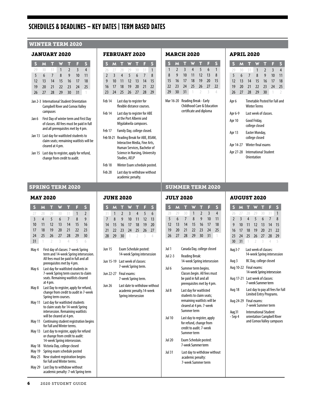## **SCHEDULES & DEADLINES – KEY DATES | TERM BASED DATES**

#### WINTER TERM 2020

#### JANUARY 2020

|    |  | S M T W T F S        |  |                |
|----|--|----------------------|--|----------------|
|    |  | 29 30 31 1 2 3       |  | $\overline{4}$ |
|    |  | 5 6 7 8 9 10 11      |  |                |
|    |  | 12 13 14 15 16 17 18 |  |                |
| 19 |  | 20 21 22 23 24 25    |  |                |
|    |  | 26 27 28 29 30 31 1  |  |                |

- Jan 2-3 International Student Orientation Campbell River and Comox Valley campuses
- Jan 6 First Day of winter term and First Day of classes. All fees must be paid in full and all prerequisites met by 4 pm.
- Jan 13 Last day for waitlisted students to claim seats; remaining waitlists will be cleared at 4 pm.
- Jan 15 Last day to register, apply for refund, change from credit to audit.

# FEBRUARY 2020

|    |  | S M T W T F          |  | Ò, |
|----|--|----------------------|--|----|
|    |  | 26 27 28 29 30 31 1  |  |    |
|    |  | 2 3 4 5 6 7          |  | 8  |
|    |  | 9 10 11 12 13 14 15  |  |    |
|    |  | 16 17 18 19 20 21 22 |  |    |
| 23 |  | 24 25 26 27 28 29    |  |    |
|    |  |                      |  |    |

- Feb 14 Last day to register for flexible distance courses.
- Feb 14 Last day to register for ABE at the Port Alberni and Mixalakwila campuses.
- Feb 17 Family Day, college closed.
- Feb 18-21 Reading Break for ABE, BSAM, Interactive Media, Fine Arts, Human Services, Bachelor of Science in Nursing, University Studies, AELP
- Feb 18 Winter Exam schedule posted. Feb 28 Last day to withdraw without academic penalty.
- 

#### MARCH 2020

| S         | M             |                       |                         |    |                            | 3  |
|-----------|---------------|-----------------------|-------------------------|----|----------------------------|----|
| 1         | $\mathcal{P}$ | 3                     | 4                       | 5  | 6                          |    |
| 8         | g             | 10                    | 11                      | 12 | 13                         | 8  |
| 15        | 16            | 17                    | 18                      | 19 | 20                         | 15 |
| 22        | 23            | 24                    | 25                      | 26 | 27                         | 22 |
| 29        | 30            | 31                    | 1                       | 7  | 3                          |    |
| Mar 16-20 |               | Reading Break - Early | certificate and diploma |    | Childhood Care & Education |    |

#### APRIL 2020

| S       | м  |                                                      |                       |                | E  | S  |
|---------|----|------------------------------------------------------|-----------------------|----------------|----|----|
| 79      | 30 | 31                                                   | 1                     | $\mathfrak{p}$ | 3  | 4  |
| 5       | 6  | 7                                                    | 8                     | 9              | 10 | 11 |
| 12      | 13 | 14                                                   | 15                    | 16             | 17 | 18 |
| 19      | 20 | 21                                                   | 22                    | 23             | 24 | 25 |
| 26      | 27 | 28                                                   | 29                    | 30             | 1  | 2  |
| Apr 6   |    | Timetable Posted for Fall and<br><b>Winter Terms</b> |                       |                |    |    |
| Apr 6-9 |    |                                                      | Last week of classes. |                |    |    |

Apr 10 Good Friday, college closed

| Apr 13 | Easter Monday, |
|--------|----------------|
|        | college closed |

Apr 14-27 Winter final exams

Apr 27-28 International Student Orientation

#### SPRING TERM 2020 SUMMER TERM 2020

#### MAY 2020

| S.             | M  |                | T W                 | n m           | E.             | S             |
|----------------|----|----------------|---------------------|---------------|----------------|---------------|
| 27.            |    |                | 28 29 30 31         |               | $\blacksquare$ | $\mathcal{P}$ |
| $\overline{3}$ |    | 5 <sup>1</sup> |                     | 6 7           | 8              | q             |
| 10             | 11 | 12             | 13                  | 14            | 15             | 16            |
| 17             | 18 | 19             |                     | $20 \quad 21$ | 22             | - 23          |
| 24             | 25 | 26             | 27                  | 28            | 29             | 30            |
| 31             |    |                | $1 \quad 2 \quad 3$ | 1.            | 5.             |               |

- May 4 First day of classes: 7-week Spring term and 14-week Spring intersession. All fees must be paid in full and all prerequisites met by 4 pm.
- May 6 Last day for waitlisted students in 7-week Spring term courses to claim seats. Remaining waitlists cleared at 4 pm.
- May 8 Last Day to register, apply for refund, change from credit to audit in 7-week Spring term courses.
- May 11 Last day for waitlisted students to claim seats for 14-week Spring intersession. Remaining waitlists will be cleared at 4 pm.
- May 11 Continuing student registration begins for Fall and Winter terms.
- May 13 Last day to register, apply for refund or change from credit to audit: 14-week Spring intersession.
- May 18 Victoria Day, college closed
- May 19 Spring exam schedule posted
- May 25 New student registration begins for Fall and Winter terms.
- May 29 Last Day to withdraw without academic penalty: 7-wk Spring term

#### JUNE 2020

|    | S M T W T F     |                   |                 |                | C) |
|----|-----------------|-------------------|-----------------|----------------|----|
|    | 31 1 2 3 4 5    |                   |                 |                | 6  |
|    | 8 <sup>2</sup>  |                   |                 | 9 10 11 12 13  |    |
| 14 | 15 <sup>2</sup> |                   |                 | 16 17 18 19 20 |    |
| 21 |                 | 22 23 24 25 26 27 |                 |                |    |
| 28 | 29              |                   | <b>30</b> 1 2 3 |                |    |

- Jun 15 Exam Schedule posted: 14-week Spring intersession
- Jun 15-19 Last week of classes: 7-week Spring term.
- Jun 22-27 Final exams: 7-week Spring term.
- Jun 26 Last date to withdraw without academic penalty.14-week Spring intersession

**JULY 30000** 

| JULI ZUZU |  |  |                      |  |  |                |  |  |  |
|-----------|--|--|----------------------|--|--|----------------|--|--|--|
|           |  |  | <b>S M T W T F</b>   |  |  | ¶\$            |  |  |  |
|           |  |  | 28 29 30 1 2 3       |  |  | $\overline{4}$ |  |  |  |
|           |  |  | 5 6 7 8 9 10 11      |  |  |                |  |  |  |
|           |  |  | 12 13 14 15 16 17 18 |  |  |                |  |  |  |
| 19        |  |  | 20 21 22 23 24 25    |  |  |                |  |  |  |
|           |  |  | 26 27 28 29 30 31 1  |  |  |                |  |  |  |

| Jul 1         | Canada Day, college closed                                                                                                   |
|---------------|------------------------------------------------------------------------------------------------------------------------------|
| Jul 2-3       | Reading Break:<br>14-week Spring intersession                                                                                |
| Jul 6         | Summer term begins.<br>Classes begin. All fees must<br>be paid in full and all<br>prerequisites met by 4 pm.                 |
| Jul 8         | Last day for waitlisted<br>students to claim seats:<br>remaining waitlists will be<br>cleared at 4 pm. 7-week<br>Summer term |
| <b>Jul 10</b> | Last day to register, apply                                                                                                  |

- for refund, change from credit to audit. 7-week Summer term
- Jul 20 Exam Schedule posted: 7-week Summer term
- Jul 31 Last day to withdraw without academic penalty: 7-week Summer term

#### AUGUST 2020

| S                                                                                                  | M  |                                                              |                          | т  | н  | S  |  |
|----------------------------------------------------------------------------------------------------|----|--------------------------------------------------------------|--------------------------|----|----|----|--|
| 26                                                                                                 | 27 | 28                                                           | 29                       | 30 | 31 | 1  |  |
| $\overline{2}$                                                                                     | 3  | 4                                                            | 5                        | 6  | 7  | 8  |  |
| 9                                                                                                  | 10 | 11                                                           | 12                       | 13 | 14 | 15 |  |
| 16                                                                                                 | 17 | 18                                                           | 19                       | 20 | 21 | 22 |  |
| 23                                                                                                 | 24 | 25                                                           | 26                       | 27 | 28 | 29 |  |
| 30                                                                                                 | 31 | 1                                                            | $\overline{\phantom{a}}$ | 3  | 4  | 5  |  |
| Last week of classes:<br>Aug 3-7<br>14-week Spring intersession<br>BC Day, college closed<br>Aug 3 |    |                                                              |                          |    |    |    |  |
| Final exams:<br>Aug 10-22<br>14-week Spring intersession                                           |    |                                                              |                          |    |    |    |  |
| Last week of classes:<br>Aug 17-21<br>7-week Summer term                                           |    |                                                              |                          |    |    |    |  |
| Aug 18                                                                                             |    | Last day to pay all fees for Fall<br>Limited Entry Programs. |                          |    |    |    |  |

#### Aug 24-29 Final exams: 7-week Summer term

Aug 31 International Student - Sep 4 orientation Campbell River and Comox Valley campuses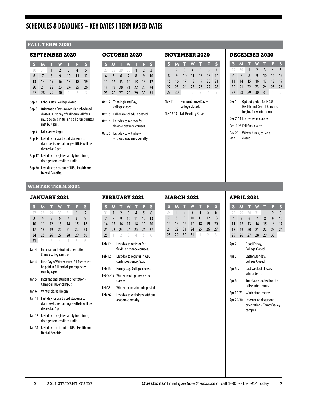# **SCHEDULES & DEADLINES – KEY DATES | TERM BASED DATES**

#### FALL TERM 2020

#### SEPTEMBER 2020

| S. | M           | n and           | W               | گ پ   | ◀≯            | S  |
|----|-------------|-----------------|-----------------|-------|---------------|----|
| 30 | 31          | $\bigoplus$     | $\sqrt{2}$      | $-3$  | 4             | 5  |
| 6  | $7^{\circ}$ | 8               | 9               | 10    | 11            | 12 |
| 13 | 14          | 15 <sup>2</sup> |                 | 16 17 | -18           | 19 |
| 20 | 21          | 22              | 23              | 24    | 25            | 26 |
| 27 | 28          | 29              | 30 <sup>1</sup> | $-1$  | $\rightarrow$ |    |

- Sep 7 Labour Day , college closed.
- Sep 8 Orientation Day no regular scheduled classes. First day of Fall term. All fees must be paid in full and all prerequisites met by 4 pm.
- Sep 9 Fall classes begin.
- Sep 14 Last day for waitlisted students to claim seats; remaining waitlists will be cleared at 4 pm.
- Sep 17 Last day to register, apply for refund, change from credit to audit.
- Sep 30 Last day to opt-out of NISU Health and Dental Benefits.

#### WINTER TERM 2021

#### JANUARY 2021

| S             | M                                                                                               | π                                                                 | W                                                                       | π              | F  | S                                        |  |  |  |  |
|---------------|-------------------------------------------------------------------------------------------------|-------------------------------------------------------------------|-------------------------------------------------------------------------|----------------|----|------------------------------------------|--|--|--|--|
| 27            | 28                                                                                              | 29                                                                | 30                                                                      | 31             | 1  | $\overline{2}$                           |  |  |  |  |
| 3             | $\overline{4}$                                                                                  | 5                                                                 | 6                                                                       | $\overline{7}$ | 8  | 9                                        |  |  |  |  |
| 10            | 11                                                                                              | 12                                                                | 13                                                                      | 14             | 15 | 16                                       |  |  |  |  |
| 17            | 18                                                                                              | 19                                                                | 20                                                                      | 21             | 22 | 23                                       |  |  |  |  |
| 24            | 25                                                                                              | 26                                                                | 27                                                                      | 28             | 29 | 30                                       |  |  |  |  |
| 31            | 1                                                                                               | 2                                                                 | 3                                                                       | 4              | 5  | 6                                        |  |  |  |  |
| Jan 4         |                                                                                                 | International student orientation -<br><b>Comox Valley campus</b> |                                                                         |                |    |                                          |  |  |  |  |
| Jan 4         | First Day of Winter term. All fees must<br>be paid in full and all prerequisites<br>met by 4 pm |                                                                   |                                                                         |                |    |                                          |  |  |  |  |
| Jan 5         |                                                                                                 | International student orientation -<br>Campbell River campus      |                                                                         |                |    |                                          |  |  |  |  |
| Jan 6         |                                                                                                 |                                                                   | Winter classes begin                                                    |                |    |                                          |  |  |  |  |
| <b>Jan 11</b> |                                                                                                 | cleared at 4 pm                                                   | Last day for waitlisted students to                                     |                |    | claim seats; remaining waitlists will be |  |  |  |  |
| <b>Jan 13</b> |                                                                                                 |                                                                   | Last day to register, apply for refund,<br>change from credit to audit. |                |    |                                          |  |  |  |  |
| <b>Jan 31</b> | Last day to opt-out of NISU Health and<br><b>Dental Benefits.</b>                               |                                                                   |                                                                         |                |    |                                          |  |  |  |  |
|               |                                                                                                 |                                                                   |                                                                         |                |    |                                          |  |  |  |  |

#### OCTOBER 2020

|    | <b>S M T W T F</b> |                   |  | S |
|----|--------------------|-------------------|--|---|
|    | 27 28 29 30 1 2 3  |                   |  |   |
|    | 4 5 6 7 8 9 10     |                   |  |   |
| 11 |                    | 12 13 14 15 16 17 |  |   |
| 18 |                    | 19 20 21 22 23 24 |  |   |
| 25 | 26 27 28 29 30 31  |                   |  |   |
|    |                    |                   |  |   |

- Oct 12 Thanksgiving Day, college closed.
- Oct 15 Fall exam schedule posted.
- Oct 16 Last day to register for flexible distance courses.
- Oct 30 Last day to withdraw without academic penalty.

#### NOVEMBER 2020

|                                       | M              |                |     | ш   | ы    |    |  |  |
|---------------------------------------|----------------|----------------|-----|-----|------|----|--|--|
| 1                                     | $\mathcal{L}$  | 3              | 4   | 5   | 6    |    |  |  |
| 8                                     | g              | 10             | 11  | 12  | 13   | 14 |  |  |
| 15                                    | 16             | 17             | 18  | 19  | 20   | 21 |  |  |
| 22                                    | $\overline{2}$ | 24             | 25  | 26  | - 27 | 28 |  |  |
| 29                                    | 30             | $\overline{1}$ | - 2 | - 3 | 4    | 5  |  |  |
| Remembrance Dav-<br>Nov <sub>11</sub> |                |                |     |     |      |    |  |  |

college closed.

Nov 12-13 Fall Reading Break

#### DECEMBER 2020

|    |  | S M T W T F       |  |     |
|----|--|-------------------|--|-----|
| 29 |  | 30 1 2 3 4        |  | - 5 |
| 6  |  | 7 8 9 10 11 12    |  |     |
| 13 |  | 14 15 16 17 18 19 |  |     |
| 20 |  | 21 22 23 24 25 26 |  |     |
| 27 |  | 28 29 30 31 1 2   |  |     |

Dec 1 Opt out period for NISU Health and Dental Benefits begins for winter term

Dec 7-11 Last week of classes

- Dec 12-23 Fall final exams
- Dec 25 Winter break, college -Jan 1 closed

#### FEBRUARY 2021

|                                                                             | S                 | M  | П                                                 |    | П  | F  | S  |  |
|-----------------------------------------------------------------------------|-------------------|----|---------------------------------------------------|----|----|----|----|--|
|                                                                             | 31                | 1  | $\overline{2}$                                    | 3  | 4  | 5  | 6  |  |
|                                                                             | $\overline{7}$    | 8  | 9                                                 | 10 | 11 | 12 | 13 |  |
|                                                                             | 14                | 15 | 16                                                | 17 | 18 | 19 | 20 |  |
|                                                                             | 21                | 22 | 23                                                | 24 | 25 | 26 | 27 |  |
|                                                                             | 28                | 1  | $\mathcal{I}$                                     | 3  | 4  | 5  | 6  |  |
| Feb <sub>12</sub><br>Last day to register for<br>flexible distance courses. |                   |    |                                                   |    |    |    |    |  |
| Feb <sub>12</sub><br>Last day to register in ABE<br>continuous entry/exit   |                   |    |                                                   |    |    |    |    |  |
| Feb <sub>15</sub><br>Family Day, College closed.                            |                   |    |                                                   |    |    |    |    |  |
|                                                                             | Feb 16-19         |    | Winter reading break - no<br>classes              |    |    |    |    |  |
|                                                                             | Feb <sub>18</sub> |    | Winter exam schedule posted                       |    |    |    |    |  |
|                                                                             | Feb 26            |    | Last day to withdraw without<br>academic penalty. |    |    |    |    |  |
|                                                                             |                   |    |                                                   |    |    |    |    |  |
|                                                                             |                   |    |                                                   |    |    |    |    |  |
|                                                                             |                   |    |                                                   |    |    |    |    |  |
|                                                                             |                   |    |                                                   |    |    |    |    |  |
|                                                                             |                   |    |                                                   |    |    |    |    |  |
|                                                                             |                   |    |                                                   |    |    |    |    |  |

#### MARCH 2021

| S. |                |  | <b>MTWTFS</b>     |  |
|----|----------------|--|-------------------|--|
|    | 28 1 2 3 4 5 6 |  |                   |  |
|    | 8 <sup>2</sup> |  | 9 10 11 12 13     |  |
| 14 |                |  | 15 16 17 18 19 20 |  |
| 21 |                |  | 22 23 24 25 26 27 |  |
| 28 | 79             |  | <b>30 31 1 2</b>  |  |

#### APRIL 2021

|     | S M T W T F     |                   |   |                |      |
|-----|-----------------|-------------------|---|----------------|------|
|     | 28 29 30 31 1 2 |                   |   |                | 3    |
|     | - 5             | 6 7               | 8 | $\overline{9}$ | - 10 |
| 11  |                 | 12 13 14 15 16 17 |   |                |      |
| 18  |                 | 19 20 21 22 23 24 |   |                |      |
| 25. |                 | 26 27 28 29       |   | -30            | $-1$ |

| Apr 2     | Good Friday,<br>College Closed.                     |
|-----------|-----------------------------------------------------|
| Apr 5     | Easter Monday,<br>College Closed.                   |
| Apr 6-9   | l ast week of classes:<br>winter term.              |
| Apr 6     | Timetable posted for the<br>fall/winter terms.      |
| Apr 10-23 | Winter final exams.                                 |
| Apr 29-30 | International student<br>orientation - Comox Valley |

campus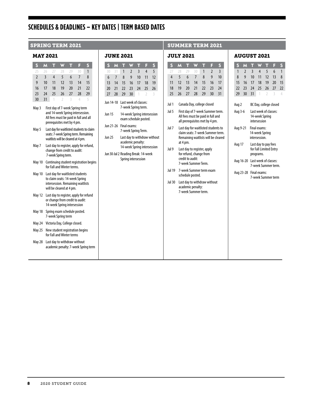# **SCHEDULES & DEADLINES – KEY DATES | TERM BASED DATES**

#### MAY 2021

|                                                                                                                                                     | S                                                                                                       | M                                                                                                                 | π              |    | π  | F              | S  |               |         | S                              |
|-----------------------------------------------------------------------------------------------------------------------------------------------------|---------------------------------------------------------------------------------------------------------|-------------------------------------------------------------------------------------------------------------------|----------------|----|----|----------------|----|---------------|---------|--------------------------------|
|                                                                                                                                                     | 25                                                                                                      | 26                                                                                                                | 77             | 28 | 29 | $30 -$         | 1  |               |         | 30                             |
|                                                                                                                                                     | $\overline{\phantom{a}}$                                                                                | $\overline{3}$                                                                                                    | $\overline{4}$ | 5  | 6  | $\overline{7}$ | 8  |               |         | 6                              |
|                                                                                                                                                     | 9                                                                                                       | 10                                                                                                                | 11             | 12 | 13 | 14             | 15 |               |         | 13                             |
|                                                                                                                                                     | 16                                                                                                      | 17                                                                                                                | 18             | 19 | 20 | 21             | 22 |               |         | 20                             |
|                                                                                                                                                     | 23                                                                                                      | 24                                                                                                                | 25             | 26 | 27 | 28             | 29 |               |         | 27                             |
|                                                                                                                                                     | 30                                                                                                      | 31                                                                                                                | 1              | 2  | 3  | 4              | 5  |               |         | <b>Jun 14</b>                  |
| First day of 7-week Spring term<br>May 3<br>and 14-week Spring intersession.<br>All fees must be paid in full and all<br>prerequisites met by 4 pm. |                                                                                                         |                                                                                                                   |                |    |    |                |    |               |         | <b>Jun 15</b><br><b>Jun 21</b> |
| May 5<br>Last day for waitlisted students to claim<br>seats: 7-week Spring term. Remaining<br>waitlists will be cleared at 4 pm.                    |                                                                                                         |                                                                                                                   |                |    |    |                |    | <b>Jun 25</b> |         |                                |
|                                                                                                                                                     | May 7<br>Last day to register, apply for refund,<br>change from credit to audit:<br>7-week Spring term. |                                                                                                                   |                |    |    |                |    |               | Jun 30- |                                |
|                                                                                                                                                     |                                                                                                         | Continuing student registration begins<br><b>May 10</b><br>for Fall and Winter terms.                             |                |    |    |                |    |               |         |                                |
|                                                                                                                                                     |                                                                                                         | Last day for waitlisted students<br>May 10<br>to claim seats: 14-week Spring<br>intersession. Remaining waitlists |                |    |    |                |    |               |         |                                |

will be cleared at 4 pm. May 12 Last day to register, apply for refund or change from credit to audit: 14-week Spring intersession May 18 Spring exam schedule posted. 7-week Spring term May 24 Victoria Day, College closed. May 25 New student registration begins for Fall and Winter terms May 28 Last day to withdraw without

academic penalty: 7-week Spring term

#### JUNE 2021

| u                                   |                | UNI LULI                                                                                             |                |                     |                          |    |  |
|-------------------------------------|----------------|------------------------------------------------------------------------------------------------------|----------------|---------------------|--------------------------|----|--|
| S                                   | M              | π                                                                                                    |                | т                   | F                        | s  |  |
| 30                                  | 31             | 1                                                                                                    | $\overline{2}$ | 3                   | 4                        | 5  |  |
| 6                                   | $\overline{7}$ | 8                                                                                                    | 9              | 10                  | 11                       | 12 |  |
| 13                                  | 14             | 15                                                                                                   | 16             | 17                  | 18                       | 19 |  |
| 20                                  | 21             | 22                                                                                                   | 23             | 24                  | 25                       | 26 |  |
| 27                                  | 28             | 29                                                                                                   | 30             | 1                   | $\overline{\phantom{a}}$ | 3  |  |
| Jun 14-18<br>Jun 15                 |                | Last week of classes:<br>7-week Spring term.<br>14-week Spring intersession<br>exam schedule posted. |                |                     |                          |    |  |
| Jun 21-26                           |                | Final exams:<br>7-week Spring Term.                                                                  |                |                     |                          |    |  |
| Jun 25                              |                | Last day to withdraw without<br>academic penalty:<br>14-week Spring intersession                     |                |                     |                          |    |  |
| Jun 30-Jul 2 Reading Break: 14-week |                |                                                                                                      |                | Spring intersession |                          |    |  |
|                                     |                |                                                                                                      |                |                     |                          |    |  |

#### SPRING TERM 2021 **SUMMER TERM 2021**

#### JULY 2021

|                                     | S                                                                                                                | M  |    |    |    | F              | S              |
|-------------------------------------|------------------------------------------------------------------------------------------------------------------|----|----|----|----|----------------|----------------|
|                                     | 27                                                                                                               | 28 | 79 | 30 | 1  | $\overline{2}$ | $\overline{3}$ |
|                                     | 4                                                                                                                | 5  | 6  | 7  | 8  | 9              | 10             |
|                                     | 11                                                                                                               | 12 | 13 | 14 | 15 | 16             | 17             |
|                                     | 18                                                                                                               | 19 | 20 | 21 | 22 | 73             | 24             |
|                                     | 25                                                                                                               | 26 | 27 | 28 | 29 | 30             | 31             |
| Jul 1<br>Canada Day, college closed |                                                                                                                  |    |    |    |    |                |                |
|                                     | Jul 5<br>First day of 7-week Summer term.<br>All fees must be paid in full and<br>all prerequisites met by 4 pm. |    |    |    |    |                |                |

Jul 7 Last day for waitlisted students to claim seats: 7-week Summer term. Remaining waitlists will be cleared at 4 pm.

Jul 9 Last day to register, apply for refund, change from credit to audit: 7-week Summer Term.

Jul 19 7-week Summer term exam schedule posted.

Jul 30 Last day to withdraw without academic penalty: 7-week Summer term.

#### AUCURT 2021

|              | יט             | ונט                                                         |                                                         | ZUZI                |                        |              |
|--------------|----------------|-------------------------------------------------------------|---------------------------------------------------------|---------------------|------------------------|--------------|
| S            | M              | т                                                           |                                                         | т                   | F                      | S            |
| $\mathbf{1}$ | $\overline{2}$ | $\overline{\mathsf{S}}$                                     | 4                                                       | $\overline{5}$      | 6                      | $\mathbf{1}$ |
| 8            | 9              | 10 <sup>10</sup>                                            | 11                                                      | 12                  | 13                     | 8            |
| 15           | 16<br>23       | 17                                                          | 18                                                      | 19                  | 20 <sup>°</sup>        | 15           |
| 22<br>29     | 30             | 24<br>31                                                    | 25<br>1                                                 | 26<br>$\mathcal{I}$ | 27<br>3                | 22<br>4      |
| Aug 2        |                |                                                             |                                                         |                     | BC Day, college closed |              |
| Aug 3-6      |                |                                                             | Last week of classes:<br>14-week Spring<br>intersession |                     |                        |              |
| Aug 9-21     |                | Final exams:<br>14-week Spring<br>intersession.             |                                                         |                     |                        |              |
| Aug 17       |                | Last day to pay fees<br>for Fall Limited Entry<br>programs. |                                                         |                     |                        |              |
| Aug 16-20    |                | Last week of classes:<br>7-week Summer term.                |                                                         |                     |                        |              |
|              | Aug 23-28      | Final exams:<br>7-week Summer term                          |                                                         |                     |                        |              |
|              |                |                                                             |                                                         |                     |                        |              |
|              |                |                                                             |                                                         |                     |                        |              |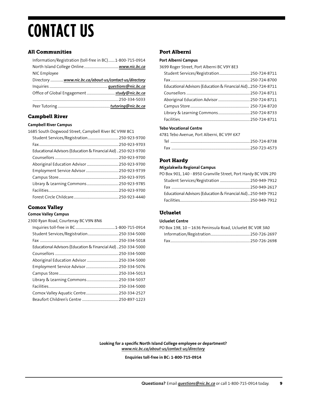# <span id="page-9-0"></span>**CONTACT US**

#### All Communities

| Information/Registration (toll-free in BC)1-800-715-0914 |  |
|----------------------------------------------------------|--|
|                                                          |  |
| NIC Employee                                             |  |
| Directory  www.nic.bc.ca/about-us/contact-us/directory   |  |
|                                                          |  |
| Office of Global Engagement  study@nic.bc.ca             |  |
|                                                          |  |
|                                                          |  |

#### Campbell River

#### **Campbell River Campus**

| 1685 South Dogwood Street, Campbell River BC V9W 8C1           |  |
|----------------------------------------------------------------|--|
| Student Services/Registration 250-923-9700                     |  |
|                                                                |  |
| Educational Advisors (Education & Financial Aid)  250-923-9700 |  |
|                                                                |  |
| Aboriginal Education Advisor  250-923-9700                     |  |
| Employment Service Advisor  250-923-9739                       |  |
|                                                                |  |
|                                                                |  |
|                                                                |  |
|                                                                |  |
|                                                                |  |

### Comox Valley

#### **Comox Valley Campus**

| 2300 Ryan Road, Courtenay BC V9N 8N6                           |  |
|----------------------------------------------------------------|--|
|                                                                |  |
| Student Services/Registration 250-334-5000                     |  |
|                                                                |  |
| Educational Advisors (Education & Financial Aid)  250-334-5000 |  |
|                                                                |  |
| Aboriginal Education Advisor  250-334-5000                     |  |
|                                                                |  |
|                                                                |  |
|                                                                |  |
|                                                                |  |
|                                                                |  |
|                                                                |  |

#### Port Alberni

#### **Port Alberni Campus**

|  |  | 3699 Roger Street, Port Alberni BC V9Y 8E3 |  |  |
|--|--|--------------------------------------------|--|--|
|  |  |                                            |  |  |
|  |  |                                            |  |  |

| Student Services/Registration 250-724-8711                   |  |
|--------------------------------------------------------------|--|
|                                                              |  |
| Educational Advisors (Education & Financial Aid)250-724-8711 |  |
|                                                              |  |
|                                                              |  |
|                                                              |  |
|                                                              |  |
|                                                              |  |
|                                                              |  |

#### **Tebo Vocational Centre**

| 4781 Tebo Avenue, Port Alberni, BC V9Y 6X7 |  |
|--------------------------------------------|--|
|                                            |  |
|                                            |  |

#### Port Hardy

#### **Mixalakwila Regional Campus**

| PO Box 901, 140 - 8950 Granville Street, Port Hardy BC V0N 2P0 |  |
|----------------------------------------------------------------|--|
| Student Services/Registration  250-949-7912                    |  |
|                                                                |  |
| Educational Advisors (Education & Financial Aid)250-949-7912   |  |
|                                                                |  |
|                                                                |  |

### Ucluelet

#### **Ucluelet Centre**

| PO Box 198, 10 - 1636 Peninsula Road, Ucluelet BC V0R 3A0 |  |
|-----------------------------------------------------------|--|
|                                                           |  |
|                                                           |  |

**Looking for a specific North Island College employee or department?**  *[www.nic.bc.ca/about-us/contact-us/directory](https://www.nic.bc.ca/about-us/contact-us/)*

**Enquiries toll-free in BC: 1-800-715-0914**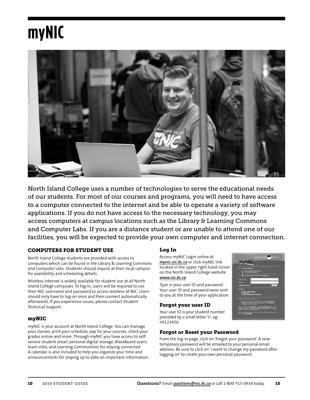# <span id="page-10-0"></span>**myNIC**



North Island College uses a number of technologies to serve the educational needs of our students. For most of our courses and programs, you will need to have access to a computer connected to the internet and be able to operate a variety of software applications. If you do not have access to the necessary technology, you may access computers at campus locations such as the Library & Learning Commons and Computer Labs. If you are a distance student or are unable to attend one of our facilities, you will be expected to provide your own computer and internet connection.

### COMPUTERS FOR STUDENT USE

North Island College students are provided with access to computers which can be found in the Library & Learning Commons and Computer Labs. Students should inquire at their local campus for availability and scheduling details.

Wireless internet is widely available for student use at all North Island College campuses. To log-in, users will be required to use their NIC username and password to access wireless at NIC. Users should only have to log-on once and then connect automatically afterwards. If you experience issues, please contact Student Technical Support.

#### myNIC

myNIC is your account at North Island College. You can manage your classes, print your schedule, pay for your courses, check your grades online and more. Through myNIC you have access to selfservice student email, personal digital storage, BlackBoard Learn, team sites, and Learning Communities for staying connected. A calendar is also included to help you organize your time and announcements for staying up to date on important information.

#### Log In

Access myNIC Login online at *[mynic.nic.bc.ca](https://mynic.nic.bc.ca)* or click myNIC link located in the upper right hand corner on the North Island College website *[www.nic.bc.ca](http://www.nic.bc.ca)*

Type in your user ID and password. Your user ID and password were sent to you at the time of your application.

#### Forgot your user ID

Your user ID is your student number preceded by a small letter 'n'. eg: n0123456

#### Forgot or Reset your Password

From the log-in page, click on 'Forgot your password'. A new temporary password will be emailed to your personal email address. Be sure to click on 'I want to change my password after logging on' to create your own personal password.

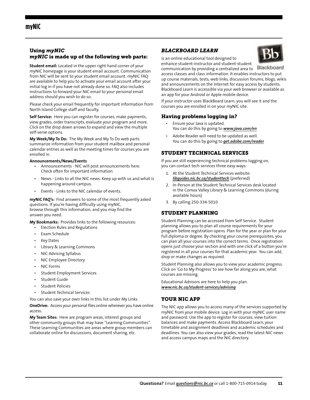#### <span id="page-11-0"></span>Using *myNIC myNIC* is made up of the following web parts:

**Student email:** Located in the upper right hand corner of your myNIC homepage is your student email account. Communication from NIC will be sent to your student email account. myNIC FAQ are available to help you to activate your email account after your initial log in if you have not already done so. FAQ also includes instructions to forward your NIC email to your personal email address should you wish to do so.

Please check your email frequently for important information from North Island College staff and faculty.

**Self Service:** Here you can register for courses, make payments, view grades, order transcripts, evaluate your program and more. Click on the drop down arrows to expand and view the multiple self-serve options.

**My Week/My To Do:** The My Week and My To Do web parts summarize information from your student mailbox and personal calendar entries as well as the meeting times for courses you are enrolled in.

#### **Announcements/News/Events**

- Announcements NIC will post announcements here. Check often for important information.
- News Links to all the NIC news. Keep up with us and what is happening around campus.
- Events Links to the NIC calendar of events.

**myNIC FAQ's:** Find answers to some of the most frequently asked questions. If you're having difficulty using myNIC, browse through this information, and you may find the answer you need.

**My Bookmarks:** Provides links to the following resources:

- Election Rules and Regulations
- Exam Schedule
- Key Dates
- Library & Learning Commons
- NIC Advising Syllabus
- NIC Employee Directory
- NIC Forms
- Student Employment Services
- Student Guide
- Student Policies
- Student Technical Services

You can also save your own links in this list under My Links.

**OneDrive:** Access your personal files online wherever you have online access.

**My Team Sites:** Here are program areas, interest groups and other community groups that may have "Learning Communities". These Learning Communities are areas where group members can collaborate online for discussions, document sharing, etc.

#### *BLACKBOARD LEARN*

is an online educational tool designed to



enhance student-instructor and student-student communication by providing a centralized area to access classes and class information. It enables instructors to put up course materials, tests, web links, discussion forums, blogs, wikis and announcements on the Internet for easy access by students. Blackboard Learn is accessible via your web browser or available as an app for your Android or Apple mobile device.

If your instructor uses BlackBoard Learn, you will see it and the courses you are enrolled in on your myNIC site.

#### Having problems logging in?

- Ensure your Java is updated. You can do this by going to *www.java.com/en*
- Adobe Reader will need to be updated as well. You can do this by going to *get.adobe.com/reader*

#### STUDENT TECHNICAL SERVICES

If you are still experiencing technical problems logging on, you can contact tech services three easy ways:

- 1. At the Student Technical Services website: *[libguides.nic.bc.ca/studenttech](http://libguides.nic.bc.ca/StudentTech)* (preferred)
- 2. In-Person at the Student Technical Services desk located in the Comox Valley Library & Learning Commons (during available hours)
- 3. By calling 250-334-5010

#### STUDENT PLANNING

Student Planning can be accessed from Self Service. Student planning allows you to plan all course requirements for your program before registration opens. Plan for the year or plan for your full diploma or degree. By checking your course prerequisites, you can plan all your courses into the correct terms. Once registration opens just choose your section and with one click of a button you're registered in all your courses for that academic year. You can add, drop or make changes as required.

Student Planning also allows you to view your academic progress. Click on 'Go to My Progress' to see how far along you are, what courses are missing.

Educational Advisors are here to help you plan. *[www.nic.bc.ca/student-services/advising](http://www.nic.bc.ca/student-services/advising)*

#### YOUR NIC APP

The NIC app allows you to access many of the services supported by myNIC from your mobile device. Log in with your myNIC user name and password. Use the app to register for courses, view tuition balances and make payments. Access Blackboard Learn, your timetable and assignment deadlines and academic schedules and deadlines. You can also view your grades, read the latest NIC news and access campus maps and the NIC directory.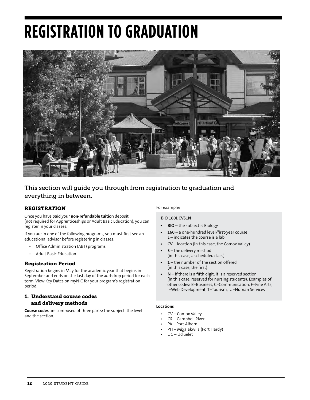# <span id="page-12-0"></span>**REGISTRATION TO GRADUATION**



### This section will guide you through from registration to graduation and everything in between.

### REGISTRATION

Once you have paid your **non-refundable tuition** deposit (not required for Apprenticeships or Adult Basic Education), you can register in your classes.

If you are in one of the following programs, you must first see an educational advisor before registering in classes:

- Office Administration (ABT) programs
- Adult Basic Education

#### Registration Period

Registration begins in May for the academic year that begins in September and ends on the last day of the add-drop period for each term. View Key Dates on myNIC for your program's registration period.

#### 1. Understand course codes and delivery methods

**Course codes** are composed of three parts: the subject, the level and the section.

#### For example:

#### **BIO 160L CVS1N**

- **• BIO** the subject is Biology
- **• 160** a one-hundred level/first-year course **L** – indicates the course is a lab
- **• CV** location (in this case, the Comox Valley)
- **• S** the delivery method (in this case, a scheduled class)
- **• 1**  the number of the section offered (in this case, the first)
- **• N** if there is a fifth digit, it is a reserved section (in this case, reserved for nursing students). Examples of other codes: B=Business, C=Communication, F=Fine Arts, I=Web Development, T=Tourism, U=Human Services

#### **Locations**

- CV Comox Valley
- CR Campbell River
- PA Port Alberni
- PH Mixalakwila (Port Hardy)
- UC Ucluelet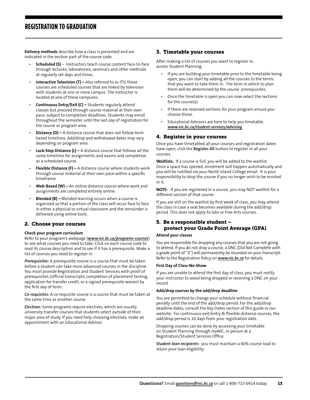### <span id="page-13-0"></span>**REGISTRATION TO GRADUATION**

**Delivery methods** describe how a class is presented and are indicated in the section part of the course code.

- **Scheduled (S)** Instructors teach course content face-to-face through lectures, laboratories, seminars and other methods at regularly set days and times.
- **Interactive Television (T)** Also referred to as ITV, these courses are scheduled courses that are linked by television with students at one or more campus. The instructor is located at one of these campuses.
- **Continuous Entry/Exit (C) –** Students regularly attend classes but proceed through course material at their own pace, subject to completion deadlines. Students may enroll throughout the semester until the last day of registration for the course or program area.
- **Distance (D)** A distance course that does not follow term based timelines. Add/drop and withdrawal dates may vary depending on program area.
- **Lock-Step Distance (L)** A distance course that follows all the same timelines for assignments and exams and completion as a scheduled course.
- **Flexible Distance (F)** A distance course where students work through course material at their own pace within a specific timeframe.
- **Web-Based (W) –** An online distance course where work and assignments are completed entirely online.
- **Blended (B) –** Blended learning occurs when a course is organized so that a portion of the class will occur face to face in either a physical or virtual classroom and the remainder is delivered using online tools.

#### 2. Choose your courses

#### **Check your program curriculum**

Refer to your program's webpage (*[www.nic.bc.ca/programs-courses](http://www.nic.bc.ca/programs-courses)*) to see what courses you need to take. Click on each course code to read its course description and to see if it has a prerequisite. Make a list of courses you need to register in.

*Prerequisites:* A prerequisite course is a course that must be taken before a student can take more advanced courses in the discipline. You must provide Registration and Student Services with proof of prerequisites (official transcripts, completion of placement testing, application for transfer credit, or a signed prerequisite waiver) by the first day of term.

*Co-requisites:* A co-requisite course is a course that must be taken at the same time as another course.

*Electives:* Some programs require electives, which are usually university transfer courses that students select outside of their major area of study. If you need help choosing electives, make an appointment with an Educational Advisor.

#### 3. Timetable your courses

After making a list of courses you want to register in, access Student Planning.

- If you are building your timetable prior to the timetable being open, you can start by adding all the courses to the terms that you want to take them in. The term in which to plan them will be determined by the course prerequisites.
- Once the timetable is open you can now select the sections for the course(s).
- If there are reserved sections for your program ensure you choose those.
- Educational Advisors are here to help you timetable. *[www.nic.bc.ca/student-services/advising](http://www.nic.bc.ca/student-services/advising)*

#### 4. Register in your courses

Once you have timetabled all your courses and registration dates have open, click the **Register All** button to register in all your courses.

**Waitlists:** If a course is full, you will be added to the waitlist. Once a space has opened, enrolment will happen automatically and you will be notified via your North Island College email. It is your responsibility to drop the course if you no longer wish to be enroled in it.

**NOTE:** If you are registered in a course, you may NOT waitlist for a different section of that course.

If you are still on the waitlist by first week of class, you may attend the class in case a seat becomes available during the add/drop period. This does not apply to labs or Fine Arts courses.

#### 5. Be a responsible student – protect your Grade Point Average (GPA)

#### **Attend your classes**

You are responsible for dropping any courses that you are not going to attend. If you do not drop a course, a DNC (Did Not Complete with a grade point of "0") will permanently be recorded on your transcript. Refer to the Registration Policy on *[www.nic.bc.ca](http://www.nic.bc.ca)* for details.

#### **First Day of Class-No-Show**

If you are unable to attend the first day of class, you must notify your instructor to avoid being dropped or receiving a DNC on your record.

#### **Add/drop courses by the add/drop deadline**

You are permitted to change your schedule without financial penalty until the end of the add/drop period. For the add/drop deadline dates, consult the Key Dates section of this guide or our website. For continuous exit/entry & flexible distance courses, the add/drop period is 10 days from your registration date.

Dropping courses can be done by accessing your timetable on Student Planning through myNIC, in person at a Registration/Student Services Office.

*Student loan recipients:* you must maintain a 60% course load to retain your loan eligibility.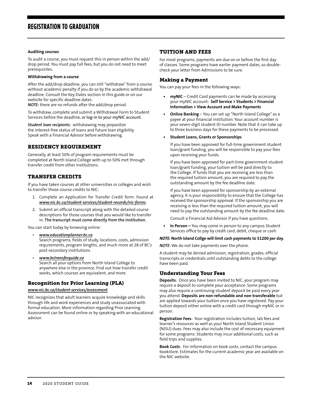#### <span id="page-14-0"></span>**Auditing courses**

To audit a course, you must request this in person within the add/ drop period. You must pay full fees, but you do not need to meet prerequisites.

#### **Withdrawing from a course**

After the add/drop deadline, you can still "withdraw" from a course without academic penalty if you do so by the academic withdrawal deadline. Consult the Key Dates section in this guide or on our website for specific deadline dates.

*NOTE:* there are no refunds after the add/drop period.

To withdraw, complete and submit a Withdrawal Form to Student Services before the deadline, or log-in to your myNIC account.

*Student loan recipients:* withdrawing may jeopardize the interest-free status of loans and future loan eligibility. Speak with a Financial Advisor before withdrawing.

#### RESIDENCY REQUIREMENT

Generally, at least 50% of program requirements must be completed at North Island College with up to 50% met through transfer credit from other institutions.

#### TRANSFER CREDITS

If you have taken courses at other universities or colleges and wish to transfer those course credits to NIC:

- 1. Complete an Application for Transfer Credit form. Found at *[www.nic.bc.ca/student-services/student-records/nic-forms.](http://www.nic.bc.ca/student-services/student-records/nic-forms)*
- 2. Submit an official transcript along with the detailed course descriptions for those courses that you would like to transfer in. **The transcript must come directly from the institution.**

You can start today by browsing online:

- *[www.educationplanner.bc.ca](http://www.educationplanner.bc.ca)*  Search programs, fields of study, locations, costs, admission requirements, program lengths, and much more at 28 of BC's post-secondary institutions.
- *[www.bctransferguide.ca](http://www.bctransferguide.ca)* Search all your options from North Island College to anywhere else in the province. Find out how transfer credit works, which courses are equivalent, and more.

#### Recognition for Prior Learning (PLA)

*[www.nic.bc.ca/student-services/assessment](http://www.nic.bc.ca/student-services/assessment)*

NIC recognizes that adult learners acquire knowledge and skills through life and work experiences and study unassociated with formal education. More information regarding Prior Learning Assessment can be found online or by speaking with an educational advisor.

#### TUITION AND FEES

For most programs, payments are due on or before the first day of classes. Some programs have earlier payment dates, so doublecheck your letter from Admissions to be sure.

#### Making a Payment

You can pay your fees in the following ways:

- **• myNIC** Credit Card payments can be made by accessing your myNIC account: **Self Service > Students > Financial Information > View Account and Make Payments**
- **• Online Banking** You can set up "North Island College" as a payee at your financial institution. Your account number is your seven-digit student ID number. Note that it can take up to three business days for these payments to be processed.

#### **• Student Loans, Grants or Sponsorships**

If you have been approved for full-time government student loan/grant funding, you will be responsible to pay your fees upon receiving your funds.

If you have been approved for part-time government student loan/grant funding, your tuition will be paid directly to the College. If funds that you are receiving are less than the required tuition amount, you are required to pay the outstanding amount by the fee deadline date.

If you have been approved for sponsorship by an external agency, it is your responsibility to ensure that the College has received the sponsorship approval. If the sponsorship you are receiving is less than the required tuition amount, you will need to pay the outstanding amount by the fee deadline date.

Consult a Financial Aid Advisor if you have questions.

**• In Person –** You may come in person to any campus Student Services office to pay by credit card, debit, cheque or cash.

#### *NOTE:* **North Island Collge will limit cash payments to \$1200 per day.**

*NOTE:* We do not take payments over the phone.

A student may be denied admission, registration, grades, official transcripts or credentials until outstanding debts to the college have been paid.

#### Understanding Your Fees

**Deposits**: Once you have been invited to NIC, your program may require a deposit to complete your acceptance. Some programs may also require a continuing-student deposit be paid every year you attend. **Deposits are non-refundable and non-transferable** but are applied towards your tuition once you have registered. Pay your tuition deposit either online with a credit card through myNIC or in person.

**Registration Fees**: Your registration includes tuition, lab fees and learner's resources as well as your North Island Student Union (NISU) dues. Fees may also include the cost of necessary equipment for some programs. Students may incur additional costs, such as field trips and supplies.

**Book Costs**: For information on book costs, contact the campus bookstore. Estimates for the current academic year are available on the NIC website.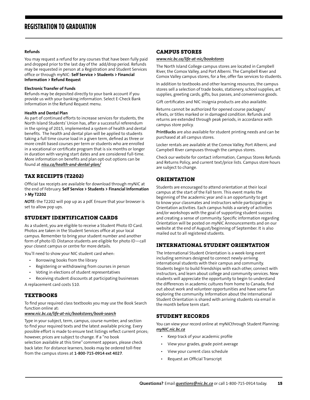#### <span id="page-15-0"></span>**Refunds**

You may request a refund for any courses that have been fully paid and dropped prior to the last day of the add/drop period. Refunds may be requested in person at a Registration and Student Services office or through myNIC: **Self Service > Students > Financial Information > Refund Request** 

#### **Electronic Transfer of Funds**

Refunds may be deposited directly to your bank account if you provide us with your banking information. Select E-Check Bank Information in the Refund Request menu.

#### **Health and Dental Plan**

As part of continued efforts to increase services for students, the North Island Students' Union has, after a successful referendum in the spring of 2015, implemented a system of health and dental benefits. The health and dental plan will be applied to students taking a full time course load in a given term, defined as three or more credit based courses per term or students who are enrolled in a vocational or certificate program that is six months or longer in duration with varying start dates and are considered full-time. More information on benefits and plan opt-out options can be found at *nisu.ca/health-and-dental-plan/*

#### TAX RECEIPTS (T2202)

Official tax receipts are available for download through myNIC at the end of February. **Self Service > Students > Financial Information > My T2202**

*NOTE:* the T2202 will pop up as a pdf. Ensure that your browser is set to allow pop ups.

#### STUDENT IDENTIFICATION CARDS

As a student, you are eligible to receive a Student Photo ID Card. Photos are taken in the Student Services office at your local campus. Remember to bring your student number and another form of photo ID. Distance students are eligible for photo ID—call your closest campus or centre for more details.

You'll need to show your NIC student card when:

- Borrowing books from the library
- Registering or withdrawing from courses in person
- Voting in elections of student representatives
- Receiving student discounts at participating businesses A replacement card costs \$10.

#### TEXTBOOKS

To find your required class textbooks you may use the Book Search function online at:

#### *[www.nic.bc.ca/life-at-nic/bookstores/book-search](http://www.nic.bc.ca/life-at-nic/bookstores/book-search)*

from the campus stores at **1-800-715-0914 ext 4027**.

Type in your subject, term, campus, course number, and section to find your required texts and the latest available pricing. Every possible effort is made to ensure text listings reflect current prices; however, prices are subject to change. If a "no book selection available at this time" comment appears, please check back later. For distance learners, books may be ordered toll-free

### CAMPUS STORES

#### *[www.nic.bc.ca/life-at-nic/bookstores](http://www.nic.bc.ca/life-at-nic/bookstores)*

The North Island College campus stores are located in Campbell River, the Comox Valley, and Port Alberni. The Campbell River and Comox Valley campus stores, for a fee, offer fax services to students.

In addition to textbooks and other learning resources, the campus stores sell a selection of trade books, stationery, school supplies, art supplies, greeting cards, gifts, bus passes, and convenience goods.

Gift certificates and NIC insignia products are also available.

Returns cannot be authorized for opened course packages/ eTexts, or titles marked or in damaged condition. Refunds and returns are extended through peak periods, in accordance with campus store policy.

**PrintBucks** are also available for student printing needs and can be purchased at all campus stores.

Locker rentals are available at the Comox Valley, Port Alberni, and Campbell River campuses through the campus stores.

Check our website for contact information, Campus Stores Refunds and Returns Policy, and current text/price lists. Campus store hours are subject to change.

#### ORIENTATION

Students are encouraged to attend orientation at their local campus at the start of the Fall term. This event marks the beginning of the academic year and is an opportunity to get to know your classmates and instructors while participating in Orientation activities. Each campus holds a variety of activities and/or workshops with the goal of supporting student success and creating a sense of community. Specific information regarding Orientation will be posted on myNIC Announcements and on our website at the end of August/beginning of September. It is also mailed out to all registered students.

#### INTERNATIONAL STUDENT ORIENTATION

The International Student Orientation is a week-long event including seminars designed to connect newly-arriving international students with their campus and community. Students begin to build friendships with each other, connect with instructors, and learn about college and community services. New students will appreciate the opportunity to begin to understand the differences in academic cultures from home to Canada, find out about work and volunteer opportunities and have some fun exploring the community. Information about the International Student Orientation is shared with arriving students via email in the month before term start.

#### STUDENT RECORDS

You can view your record online at myNICthrough Student Planning: *[myNIC.nic.bc.ca](https://myNIC.nic.bc.ca)*

- Keep track of your academic profile
- View your grades, grade point average
- View your current class schedule
- Request an Official Transcript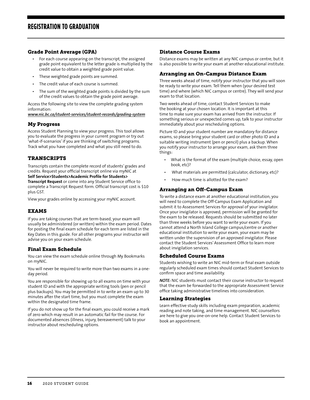#### <span id="page-16-0"></span>Grade Point Average (GPA)

- For each course appearing on the transcript, the assigned grade point equivalent to the letter grade is multiplied by the credit value to obtain a weighted grade point value.
- These weighted grade points are summed.
- The credit value of each course is summed.
- The sum of the weighted grade points is divided by the sum of the credit values to obtain the grade point average.

Access the following site to view the complete grading system information:

*[www.nic.bc.ca/student-services/student-records/grading-system](http://www.nic.bc.ca/student-services/student-records/grading-system)*

#### My Progress

Access Student Planning to view your progress. This tool allows you to evaluate the progress in your current program or try out 'what-if-scenarios' if you are thinking of switching programs. Track what you have completed and what you still need to do.

#### TRANSCRIPTS

Transcripts contain the complete record of students' grades and credits. Request your official transcript online via myNIC at **Self Service>Students>Academic Profile for Students> Transcript Request** or come into any Student Service office to complete a Transcript Request form. Official transcript cost is \$10 plus GST.

View your grades online by accessing your myNIC account.

#### EXAMS

If you are taking courses that are term-based, your exam will usually be administered (or written) within the exam period. Dates for posting the final exam schedule for each term are listed in the Key Dates in this guide. For all other programs your instructor will advise you on your exam schedule.

#### Final Exam Schedule

You can view the exam schedule online through My Bookmarks on myNIC.

You will never be required to write more than two exams in a oneday period.

You are responsible for showing up to all exams on time with your student ID and with the appropriate writing tools (pen or pencil plus backups). You may be permitted in to write an exam up to 30 minutes after the start time, but you must complete the exam within the designated time frame.

If you do not show up for the final exam, you could receive a mark of zero which may result in an automatic fail for the course. For documented absences (illness, injury, bereavement) talk to your instructor about rescheduling options.

#### Distance Course Exams

Distance exams may be written at any NIC campus or centre, but it is also possible to write your exam at another educational institute.

#### Arranging an On-Campus Distance Exam

Three weeks ahead of time, notify your instructor that you will soon be ready to write your exam. Tell them when (your desired test time) and where (which NIC campus or centre). They will send your exam to that location.

Two weeks ahead of time, contact Student Services to make the booking at your chosen location. It is important at this time to make sure your exam has arrived from the instructor. If something serious or unexpected comes up, talk to your instructor immediately about your rescheduling options.

Picture ID and your student number are mandatory for distance exams, so please bring your student card or other photo ID and a suitable writing instrument (pen or pencil) plus a backup. When you notify your instructor to arrange your exam, ask them three things:

- What is the format of the exam (multiple choice, essay, open book, etc)?
- What materials are permitted (calculator, dictionary, etc)?
- How much time is allotted for the exam?

#### Arranging an Off-Campus Exam

To write a distance exam at another educational institution, you will need to complete the Off-Campus Exam Application and submit it to Assessment Services for approval of your invigilator. Once your invigilator is approved, permission will be granted for the exam to be released. Requests should be submitted no later than three weeks before you want to write your exam. If you cannot attend a North Island College campus/centre or another educational institution to write your exam, your exam may be written under the supervision of an approved invigilator. Please contact the Student Services' Assessment Office to learn more about invigilation services.

#### Scheduled Course Exams

Students wishing to write an NIC mid-term or final exam outside regularly scheduled exam times should contact Student Services to confirm space and time availability.

*NOTE:* NIC students must contact their course instructor to request that the exam be forwarded to the appropriate Assessment Service office taking administrative timelines into consideration.

#### Learning Strategies

Learn effective study skills including exam preparation, academic reading and note taking, and time management. NIC counsellors are here to give you one-on-one help. Contact Student Services to book an appointment.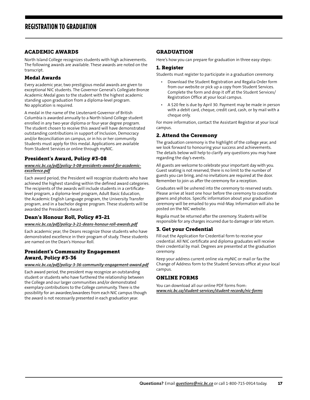#### <span id="page-17-0"></span>ACADEMIC AWARDS

North Island College recognizes students with high achievements. The following awards are available. These awards are noted on the transcript.

#### Medal Awards

Every academic year, two prestigious medal awards are given to exceptional NIC students. The Governor General's Collegiate Bronze Academic Medal goes to the student with the highest academic standing upon graduation from a diploma-level program. No application is required.

A medal in the name of the Lieutenant-Governor of British Columbia is awarded annually to a North Island College student enrolled in any two-year diploma or four-year degree program. The student chosen to receive this award will have demonstrated outstanding contributions in support of Inclusion, Democracy and/or Reconciliation on campus, or in his or her community. Students must apply for this medal. Applications are available from Student Services or online through myNIC.

#### President's Award, Policy #3-08

#### *www.nic.bc.ca/pdf/policy-3-08-presidents-award-for-academicexcellence.pdf*

Each award period, the President will recognize students who have achieved the highest standing within the defined award categories. The recipients of the awards will include students in a certificatelevel program, a diploma-level program, Adult Basic Education, the Academic English Language program, the University Transfer program, and in a bachelor degree program. These students will be awarded the President's Award.

#### Dean's Honour Roll, Policy #3-21

#### *www.nic.bc.ca/pdf/policy-3-21-deans-honour-roll-awards.pdf*

Each academic year, the Deans recognize those students who have demonstrated excellence in their program of study. These students are named on the Dean's Honour Roll.

#### President's Community Engagement Award, Policy #3-36

#### *www.nic.bc.ca/pdf/policy-3-36-community-engagement-award.pdf*

Each award period, the president may recognize an outstanding student or students who have furthered the relationship between the College and our larger communities and/or demonstrated exemplary contributions to the College community. There is the possibility for an awardee/awardees from each NIC campus though the award is not necessarily presented in each graduation year.

#### GRADUATION

Here's how you can prepare for graduation in three easy steps:

#### 1. Register

Students must register to participate in a graduation ceremony.

- Download the Student Registration and Regalia Order form from our website or pick up a copy from Student Services. Complete the form and drop it off at the Student Services/ Registration Office at your local campus.
- A \$20 fee is due by April 30. Payment may be made in person with a debit card, cheque, credit card, cash, or by mail with a cheque only.

For more information, contact the Assistant Registrar at your local campus.

#### 2. Attend the Ceremony

The graduation ceremony is the highlight of the college year, and we look forward to honouring your success and achievements. The details below will help to clarify any questions you may have regarding the day's events.

All guests are welcome to celebrate your important day with you. Guest seating is not reserved, there is no limit to the number of guests you can bring, and no invitations are required at the door. Remember to join us after the ceremony for a reception.

Graduates will be ushered into the ceremony to reserved seats. Please arrive at least one hour before the ceremony to coordinate gowns and photos. Specific information about your graduation ceremony will be emailed to you mid-May. Information will also be posted on the NIC website.

Regalia must be returned after the ceremony. Students will be responsible for any charges incurred due to damage or late return.

#### 3. Get your Credential

Fill out the Application for Credential form to receive your credential. All NIC certificate and diploma graduates will receive their credential by mail. Degrees are presented at the graduation ceremony.

Keep your address current online via myNIC or mail or fax the Change of Address form to the Student Services office at your local campus.

#### ONLINE FORMS

You can download all our online PDF forms from: *[www.nic.bc.ca/student-services/student-records/nic-forms](http://www.nic.bc.ca/student-services/student-records/nic-forms)*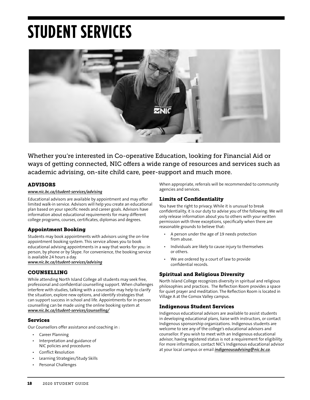# <span id="page-18-0"></span>**STUDENT SERVICES**



Whether you're interested in Co-operative Education, looking for Financial Aid or ways of getting connected, NIC offers a wide range of resources and services such as academic advising, on-site child care, peer-support and much more.

### ADVISORS

#### *[www.nic.bc.ca/student-services/advising](http://www.nic.bc.ca/student-services/advising)*

Educational advisors are available by appointment and may offer limited walk-in service. Advisors will help you create an educational plan based on your specific needs and career goals. Advisors have information about educational requirements for many different college programs, courses, certificates, diplomas and degrees.

#### Appointment Booking

Students may book appointments with advisors using the on-line appointment booking system. This service allows you to book educational advising appointments in a way that works for you: in person, by phone or by Skype. For convenience, the booking service is available 24 hours a day.

*[www.nic.bc.ca/student-services/advising](http://www.nic.bc.ca/student-services/advising)*

#### COUNSELLING

While attending North Island College all students may seek free, professional and confidential counselling support. When challenges interfere with studies, talking with a counsellor may help to clarify the situation, explore new options, and identify strategies that can support success in school and life. Appointments for in-person counselling can be made using the online booking system at *www.nic.bc.ca/student-services/counselling/*

#### Services

Our Counsellors offer assistance and coaching in :

- Career Planning
- Interpretation and guidance of NIC policies and procedures
- Conflict Resolution
- Learning Strategies/Study Skills
- Personal Challenges

When appropriate, referrals will be recommended to community agencies and services.

#### Limits of Confidentiality

You have the right to privacy. While it is unusual to break confidentiality, it is our duty to advise you of the following: We will only release information about you to others with your written permission with three exceptions, specifically when there are reasonable grounds to believe that:

- A person under the age of 19 needs protection from abuse.
- Individuals are likely to cause injury to themselves or others.
- We are ordered by a court of law to provide confidential records.

#### Spiritual and Religious Diversity

North Island College recognizes diversity in spiritual and religious philosophies and practices. The Reflection Room provides a space for quiet prayer and meditation. The Reflection Room is located in Village A at the Comox Valley campus.

#### Indigenous Student Services

Indigenous educational advisors are available to assist students in developing educational plans, liaise with instructors, or contact Indigenous sponsorship organizations. Indigenous students are welcome to see any of the college's educational advisors and counsellor. If you wish to meet with an Indigenous educational advisor, having registered status is not a requirement for eligibility. For more information, contact NIC's Indigenous educational advisor at your local campus or email *[indigenousadvising@nic.bc.ca](mailto:indigenousadvising%40nic.bc.ca?subject=)*.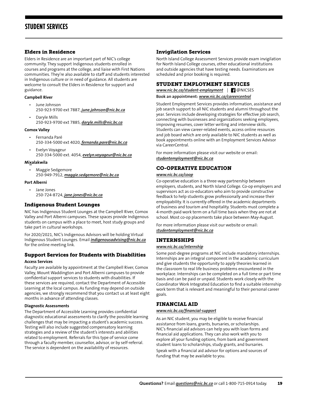#### <span id="page-19-0"></span>Elders in Residence

Elders in Residence are an important part of NIC's college community. They support Indigenous students enrolled in courses and programs at the college, and liaise with First Nations communities. They're also available to staff and students interested in Indigenous culture or in need of guidance. All students are welcome to consult the Elders in Residence for support and guidance.

#### **Campbell River**

- June Johnson 250-923-9700 ext 7887, *[june.johnson@nic.bc.ca](mailto: june.johnson@nic.bc.ca)*
- Daryle Mills 250-923-9700 ext 7885, *[daryle.mills@nic.bc.ca](mailto: daryle.mills@nic.bc.ca)*

#### **Comox Valley**

- Fernanda Paré 250-334-5000 ext 4020, *[fernanda.pare@nic.bc.ca](mailto: fernanda.pare@nic.bc.ca)*
- Evelyn Voyageur 250-334-5000 ext. 4054, *[evelyn.voyageur@nic.bc.ca](mailto: evelyn.voyageur@nic.bc.ca)*

#### **Mixalakwila**

• Maggie Sedgemore

250-949-7912, *[maggie.sedgemore@nic.bc.ca](mailto: maggie.sedgemore@nic.bc.ca)*

#### **Port Alberni**

• Jane Jones 250-724-8724, *[jane.jones@nic.bc.ca](mailto: jane.jones@nic.bc.ca)*

#### Indigenous Student Lounges

NIC has Indigenous Student Lounges at the Campbell River, Comox Valley and Port Alberni campuses. These spaces provide Indigenous students on campus with a place to meet, host study groups and take part in cultural workshops.

For 2020/2021, NIC's Indigenous Advisors will be holding Virtual Indigenous Student Lounges. Email *[indigenousadvising@nic.bc.ca](mailto: indigenousadvising@nic.bc.ca)* for the online meeting link.

#### Support Services for Students with Disabilities

#### **Access Services**

Faculty are available by appointment at the Campbell River, Comox Valley, Mount Waddington and Port Alberni campuses to provide confidential support services to students with disabilities. If these services are required, contact the Department of Accessible Learning at the local campus. As funding may depend on outside agencies, we strongly recommend that you contact us at least eight months in advance of attending classes.

#### **Diagnostic Assessments**

The Department of Accessible Learning provides confidential diagnostic educational assessments to clarify the possible learning challenges that may be impacting a student's academic success. Testing will also include suggested compensatory learning strategies and a review of the student's interests and abilities related to employment. Referrals for this type of service come through a faculty member, counsellor, advisor, or by self-referral. The service is dependent on the availability of resources.

#### Invigilation Services

North Island College Assessment Services provide exam invigilation for North Island College courses, other educational institutions and outside agencies that have testing needs. Examinations are scheduled and prior booking is required.

#### STUDENT EMPLOYMENT SERVICES

*[www.nic.bc.ca/student-employment](http://www.nic.bc.ca/student-employment)* |@NICSES **Book an appointment:** *[www.nic.bc.ca/c](http://www.nic.bc.ca/student-employment)areercentral*

Student Employment Services provides information, assistance and job search support to all NIC students and alumni throughout the year. Services include developing strategies for effective job search, connecting with businesses and organizations seeking employees, improving resumes, cover letter writing and interview skills. Students can view career-related events, access online resources and job board which are only available to NIC students as well as book appointments online with an Employment Services Advisor via CareerCentral.

For more information please visit our website or email: *[studentemployment@nic.bc.ca](mailto:studentemployment%40nic.bc.ca?subject=)*

### CO-OPERATIVE EDUCATION

#### *www.nic.bc.ca/coop*

Co-operative education is a three-way partnership between employers, students, and North Island College. Co-op employers and supervisors act as co-educators who aim to provide constructive feedback to help students grow professionally and increase their employability. It is currently offered in the academic departments of business and tourism and hospitality. Students must complete a 4-month paid work term on a full time basis when they are not at school. Most co-op placements take place between May-August.

For more information please visit our website or email: *[studentemployment@nic.bc.ca](mailto:studentemployment%40nic.bc.ca?subject=)*

#### INTERNSHIPS

#### *www.nic.bc.ca/internship*

Some post-degree programs at NIC include mandatory internships. Internships are an integral component in the academic curriculum and give students the opportunity to apply theories learned in the classroom to real life business problems encountered in the workplace. Internships can be completed on a full time or part time basis and can be paid or unpaid. Students work closely with the Coordinator Work Integrated Education to find a suitable internship work term that is relevant and meaningful to their personal career goals.

#### FINANCIAL AID

#### *[www.nic.bc.ca/financial-support](http://www.nic.bc.ca/financial-support)*

As an NIC student, you may be eligible to receive financial assistance from loans, grants, bursaries, or scholarships. NIC's financial aid advisors can help you with loan forms and financial aid applications. They can also work with you to explore all your funding options, from bank and government student loans to scholarships, study grants, and bursaries.

Speak with a financial aid advisor for options and sources of funding that may be available to you.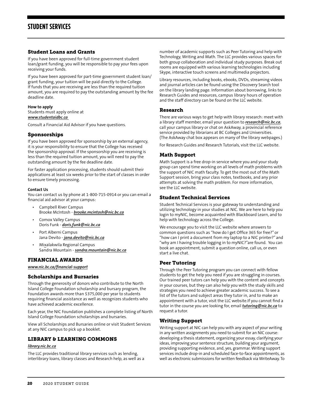#### <span id="page-20-0"></span>Student Loans and Grants

If you have been approved for full-time government student loan/grant funding, you will be responsible to pay your fees upon receiving your funds.

If you have been approved for part-time government student loan/ grant funding, your tuition will be paid directly to the College. If funds that you are receiving are less than the required tuition amount, you are required to pay the outstanding amount by the fee deadline date.

#### **How to apply**

Students must apply online at *[www.studentaidbc.ca](http://www.studentaidbc.ca)* 

Consult a Financial Aid Advisor if you have questions.

#### Sponsorships

If you have been approved for sponsorship by an external agency, it is your responsibility to ensure that the College has received the sponsorship approval. If the sponsorship you are receiving is less than the required tuition amount, you will need to pay the outstanding amount by the fee deadline date.

For faster application processing, students should submit their applications at least six weeks prior to the start of classes in order to ensure timely processing.

#### **Contact Us**

You can contact us by phone at 1-800-715-0914 or you can email a financial aid advisor at your campus:

- Campbell River Campus Brooke McIntosh - *[brooke.mcintosh@nic.bc.ca](mailto:brooke.mcintosh%40nic.bc.ca?subject=)*
- Comox Valley Campus Doris Funk - *[doris.funk@nic.bc.ca](mailto:doris.funk%40nic.bc.ca?subject=)*
- Port Alberni Campus Jana Devito - *[jana.devito@nic.bc.ca](mailto:jana.devito%40nic.bc.ca?subject=)*
- Mixalakwila Regional Campus Sandra Mountain - *sandra.mountain[@nic.bc.ca](mailto:christy.whitmore%40nic.bc.ca?subject=)*

#### FINANCIAL AWARDS

*[www.nic.bc.ca/financial-support](https://www.nic.bc.ca/financial-support/)*

### Scholarships and Bursaries

Through the generosity of donors who contribute to the North Island College Foundation scholarship and bursary program, the Foundation awards more than \$375,000 per year to students requiring financial assistance as well as recognizes students who have achieved academic excellence.

Each year, the NIC Foundation publishes a complete listing of North Island College Foundation scholarships and bursaries.

View all Scholarships and Bursaries online or visit Student Services at any NIC campus to pick up a booklet.

#### LIBRARY & LEARNING COMMONS

#### *[library.nic.bc.ca](https://library.nic.bc.ca)*

The LLC provides traditional library services such as lending, interlibrary loans, library classes and Research help, as well as a

number of academic supports such as Peer Tutoring and help with Technology, Writing and Math. The LLC provides various spaces for both group collaboration and individual study purposes. Break out rooms are equipped with various learning technologies including Skype, interactive touch screens and multimedia projectors.

Library resources, including books, ebooks, DVDs, streaming videos and journal articles can be found using the Discovery Search tool on the library landing page. Information about borrowing, links to Research Guides and resources, campus library hours of operation and the staff directory can be found on the LLC website.

#### Research

There are various ways to get help with library research: meet with a library staff member, email your question to *research@nic.bc.ca*, call your campus library or chat on AskAway, a provincial reference service provided by librarians at BC Colleges and Universities. (The AskAway chat box appears on many of the library webpages.)

For Research Guides and Research Tutorials, visit the LLC website.

#### Math Support

Math Support is a free drop-in service where you and your study group can spend time working on all levels of math problems with the support of NIC math faculty. To get the most out of the Math Support session, bring your class notes, textbooks, and any prior attempts at solving the math problem. For more information, see the LLC website.

#### Student Technical Services

Student Technical Services is your gateway to understanding and utilizing technology in your studies at NIC. We are here to help you login to myNIC, become acquainted with Blackboard Learn, and to help with technology across the College.

We encourage you to visit the LLC website where answers to common questions such as "how do I get Office 365 for free?" or "how can I print a document from my laptop to a NIC printer?" and "why am I having trouble logging in to myNIC?"are found. You can book an appointment, submit a question online, call us, or even start a live chat.

#### Peer Tutoring

Through the Peer Tutoring program you can connect with fellow students to get the help you need if you are struggling in courses. Our trained peer tutors can help you with the content and concepts in your courses, but they can also help you with the study skills and strategies you need to achieve greater academic success. To see a list of the tutors and subject areas they tutor in, and to make an appointment with a tutor, visit the LLC website.If you cannot find a tutor in the course you are looking for, email *[tutoring@nic.bc.ca](mailto:tutoring%40nic.bc.ca?subject=)* to request a tutor.

#### Writing Support

Writing support at NIC can help you with any aspect of your writing in any written assignments you need to submit for an NIC course: developing a thesis statement, organizing your essay, clarifying your ideas, improving your sentence structure, building your argument, providing supporting evidence, and, yes, grammar. Writing support services include drop-in and scheduled face-to-face appointments, as well as electronic submissions for written feedback via WriteAway. To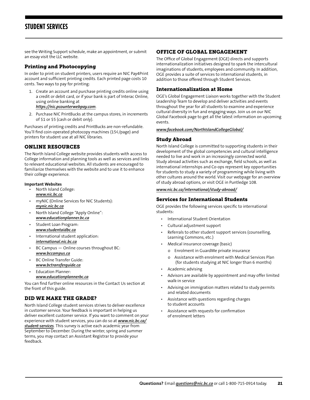# <span id="page-21-0"></span>**STUDENT SERVICES**

see the Writing Support schedule, make an appointment, or submit an essay visit the LLC website.

#### Printing and Photocopying

In order to print on student printers, users require an NIC Pay4Print account and sufficient printing credits. Each printed page costs 10 cents. Two ways to pay for printing:

- 1. Create an account and purchase printing credits online using a credit or debit card, or if your bank is part of Interac Online, using online banking at *[https://nic.pcounterwebpay.com](https://nic.pcounterwebpay.com/)*.
- 2. Purchase NIC PrintBucks at the campus stores, in increments of \$1 or \$5 (cash or debit only).

Purchases of printing credits and PrintBucks are non-refundable. You'll find coin-operated photocopy machines (15¢/page) and printers for student use at all NIC libraries.

#### ONLINE RESOURCES

The North Island College website provides students with access to College information and planning tools as well as services and links to relevant educational websites. All students are encouraged to familiarize themselves with the website and to use it to enhance their college experience.

#### **Important Websites**

- North Island College: *[www.nic.bc.ca](http://www.nic.bc.ca)*
- myNIC (Online Services for NIC Students): *[mynic.nic.bc.ca](https://mynic.nic.bc.ca)*
- North Island College "Apply Online": *[www.educationplanner.bc.ca](http://www.educationplanner.bc.ca)*
- Student Loan Program: *[www.studentaidbc.ca](http://www.studentaidbc.ca)*
- International student application: *[international.nic.bc.ca](http://international.nic.bc.ca)*
- BC Campus Online courses throughout BC: *[www.bccampus.ca](http://www.bccampus.ca)*
- BC Online Transfer Guide: *[www.bctransferguide.ca](http://www.bctransferguide.ca)*
- Education Planner: *[www.educationplannerbc.ca](http://www.educationplannerbc.ca)*

You can find further online resources in the Contact Us section at the front of this guide.

#### DID WE MAKE THE GRADE?

North Island College student services strives to deliver excellence in customer service. Your feedback is important in helping us deliver excellent customer service. If you want to comment on your experience with student services, you can do so at *[www.nic.bc.ca/](http://www.nic.bc.ca/student-services) [student-services](http://www.nic.bc.ca/student-services).* This survey is active each academic year from September to December. During the winter, spring and summer terms, you may contact an Assistant Registrar to provide your feedback.

#### OFFICE OF GLOBAL ENGAGEMENT

The Office of Global Engagement (OGE) directs and supports internationalization initiatives designed to spark the intercultural imaginations of students, employees and community. In addition, OGE provides a suite of services to international students, in addition to those offered through Student Services.

#### Internationalization at Home

OGE's Global Engagement Liaison works together with the Student Leadership Team to develop and deliver activities and events throughout the year for all students to examine and experience cultural diversity in fun and engaging ways. Join us on our NIC Global Facebook page to get all the latest information on upcoming events.

#### *[www.facebook.com/NorthIslandCollegeGlobal/](https://www.facebook.com/NorthIslandCollegeGlobal/)*

#### Study Abroad

North Island College is committed to supporting students in their development of the global competencies and cultural intelligence needed to live and work in an increasingly connected world. Study abroad activities such as exchange, field schools, as well as international internships and Co-ops represent key opportunities for students to study a variety of programming while living with other cultures around the world. Visit our webpage for an overview of study abroad options, or visit OGE in Puntledge 108.

#### *[www.nic.bc.ca/international/study-abroad/](http://www.nic.bc.ca/international/study-abroad/)*

#### Services for International Students

OGE provides the following services specific to international students:

- International Student Orientation
- Cultural adjustment support
- Referrals to other student support services (counselling, Learning Commons, etc.)
- Medical insurance coverage (basic)
	- o Enrolment in GuardMe private insurance
	- o Assistance with enrolment with Medical Services Plan (for students studying at NIC longer than 6 months)
- Academic advising
- Advisors are available by appointment and may offer limited walk-in service
- Advising on immigration matters related to study permits and related documents
- Assistance with questions regarding charges to student accounts
- Assistance with requests for confirmation of enrolment letters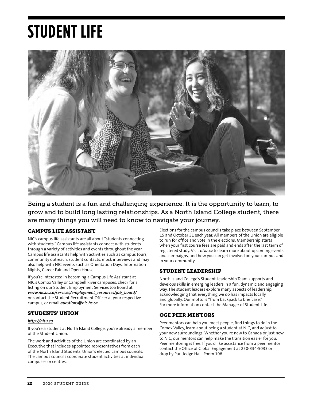# <span id="page-22-0"></span>**STUDENT LIFE**



Being a student is a fun and challenging experience. It is the opportunity to learn, to grow and to build long lasting relationships. As a North Island College student, there are many things you will need to know to navigate your journey.

### CAMPUS LIFE ASSISTANT

NIC's campus life assistants are all about "students connecting with students." Campus life assistants connect with students through a variety of activities and events throughout the year. Campus life assistants help with activities such as campus tours, community outreach, student contacts, mock interviews and may also help with NIC events such as Orientation Days, Information Nights, Career Fair and Open House.

If you're interested in becoming a Campus Life Assistant at NIC's Comox Valley or Campbell River campuses, check for a listing on our Student Employment Services Job Board at *www.nic.bc.ca/services/employment\_resources/job\_board/*  or contact the Student Recruitment Officer at your respective campus, or email *[questions@nic.bc.ca](mailto:questions%40nic.bc.ca?subject=)*.

### STUDENTS' UNION

#### *<http://nisu.ca>*

If you're a student at North Island College, you're already a member of the Student Union.

The work and activities of the Union are coordinated by an Executive that includes appointed representatives from each of the North Island Students' Union's elected campus councils. The campus councils coordinate student activities at individual campuses or centres.

Elections for the campus councils take place between September 15 and October 31 each year. All members of the Union are eligible to run for office and vote in the elections. Membership starts when your first course fees are paid and ends after the last term of registered study. Visit *[nisu.ca](http://nisu.ca)* to learn more about upcoming events and campaigns, and how you can get involved on your campus and in your community.

#### STUDENT LEADERSHIP

North Island College's Student Leadership Team supports and develops skills in emerging leaders in a fun, dynamic and engaging way. The student leaders explore many aspects of leadership, acknowledging that everything we do has impacts locally and globally. Our motto is "from backpack to briefcase." For more information contact the Manager of Student Life.

#### OGE PEER MENTORS

Peer mentors can help you meet people, find things to do in the Comox Valley, learn about being a student at NIC, and adjust to your new surroundings. Whether you're new to Canada or just new to NIC, our mentors can help make the transition easier for you. Peer mentoring is free. If you'd like assistance from a peer mentor contact the Office of Global Engagement at 250-334-5033 or drop by Puntledge Hall, Room 108.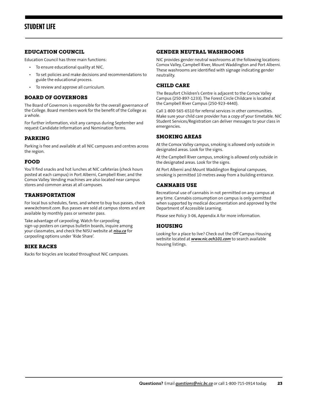## <span id="page-23-0"></span>**STUDENT LIFE**

#### EDUCATION COUNCIL

Education Council has three main functions:

- To ensure educational quality at NIC.
- To set policies and make decisions and recommendations to guide the educational process.
- To review and approve all curriculum.

#### BOARD OF GOVERNORS

The Board of Governors is responsible for the overall governance of the College. Board members work for the benefit of the College as a whole.

For further information, visit any campus during September and request Candidate Information and Nomination forms.

#### PARKING

Parking is free and available at all NIC campuses and centres across the region.

#### FOOD

You'll find snacks and hot lunches at NIC cafeterias (check hours posted at each campus) in Port Alberni, Campbell River, and the Comox Valley. Vending machines are also located near campus stores and common areas at all campuses.

#### TRANSPORTATION

For local bus schedules, fares, and where to buy bus passes, check *www.bctransit.com*. Bus passes are sold at campus stores and are available by monthly pass or semester pass.

Take advantage of carpooling. Watch for carpooling sign-up posters on campus bulletin boards, inquire among your classmates, and check the NISU website at *[nisu.ca](http://nisu.ca)* for carpooling options under 'Ride Share'.

#### BIKE RACKS

Racks for bicycles are located throughout NIC campuses.

#### GENDER NEUTRAL WASHROOMS

NIC provides gender neutral washrooms at the following locations: Comox Valley, Campbell River, Mount Waddington and Port Alberni. These washrooms are identified with signage indicating gender neutrality.

#### CHILD CARE

The Beaufort Children's Centre is adjacent to the Comox Valley Campus (250-897-1233). The Forest Circle Childcare is located at the Campbell River Campus (250-923-4440).

Call 1-800-565-6510 for referral services in other communities. Make sure your child care provider has a copy of your timetable. NIC Student Services/Registration can deliver messages to your class in emergencies.

#### SMOKING AREAS

At the Comox Valley campus, smoking is allowed only outside in designated areas. Look for the signs.

At the Campbell River campus, smoking is allowed only outside in the designated areas. Look for the signs.

At Port Alberni and Mount Waddington Regional campuses, smoking is permitted 10 metres away from a building entrance.

#### CANNABIS USE

Recreational use of cannabis in not permitted on any campus at any time. Cannabis consumption on campus is only permitted when supported by medical documentation and approved by the Department of Accessible Learning.

Please see Policy 3-06, Appendix A for more information.

#### HOUSING

Looking for a place to live? Check out the Off Campus Housing website located at *[www.nic.och101.com](http://www.nic.och101.com)* to search available housing listings.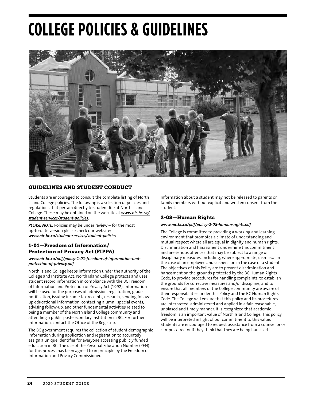# <span id="page-24-0"></span>**COLLEGE POLICIES & GUIDELINES**



#### GUIDELINES AND STUDENT CONDUCT

Students are encouraged to consult the complete listing of North Island College policies. The following is a selection of policies and regulations that pertain directly to student life at North Island College. These may be obtained on the website at *[www.nic.bc.ca/](http://www.nic.bc.ca/student-services/student-policies) [student-services/student-policies](http://www.nic.bc.ca/student-services/student-policies)*.

*PLEASE NOTE:* Policies may be under review – for the most up-to-date version please check our website: *[www.nic.bc.ca/student-services/student-policies](http://www.nic.bc.ca/student-services/student-policies)*

#### 1-01—Freedom of Information/ Protection of Privacy Act (FIPPA)

#### *www.nic.bc.ca/pdf/policy-1-01-freedom-of-information-andprotection-of-privacy.pdf*

North Island College keeps information under the authority of the College and Institute Act. North Island College protects and uses student record information in compliance with the BC Freedom of Information and Protection of Privacy Act (1992). Information will be used for the purposes of admission, registration, grade notification, issuing income tax receipts, research, sending followup educational information, contacting alumni, special events, advising follow-up, and other fundamental activities related to being a member of the North Island College community and attending a public post-secondary institution in BC. For further information, contact the Office of the Registrar.

The BC government requires the collection of student demographic information during application and registration to accurately assign a unique identifier for everyone accessing publicly funded education in BC. The use of the Personal Education Number (PEN) for this process has been agreed to in principle by the Freedom of Information and Privacy Commissioner.

Information about a student may not be released to parents or family members without explicit and written consent from the student.

#### 2-08—Human Rights

#### *www.nic.bc.ca/pdf/policy-2-08-human-rights.pdf*

The College is committed to providing a working and learning environment that promotes a climate of understanding and mutual respect where all are equal in dignity and human rights. Discrimination and harassment undermine this commitment and are serious offences that may be subject to a range of disciplinary measures, including, where appropriate, dismissal in the case of an employee and suspension in the case of a student. The objectives of this Policy are to prevent discrimination and harassment on the grounds protected by the BC Human Rights Code, to provide procedures for handling complaints, to establish the grounds for corrective measures and/or discipline, and to ensure that all members of the College community are aware of their responsibilities under this Policy and the BC Human Rights Code. The College will ensure that this policy and its procedures are interpreted, administered and applied in a fair, reasonable, unbiased and timely manner. It is recognized that academic freedom is an important value of North Island College. This policy will be interpreted in light of our commitment to this value. Students are encouraged to request assistance from a counsellor or campus director if they think that they are being harassed.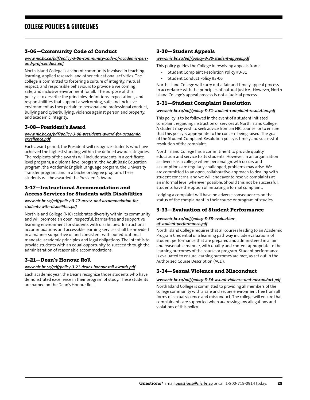#### <span id="page-25-0"></span>3-06—Community Code of Conduct

#### *www.nic.bc.ca/pdf/policy-3-06-community-code-of-academic-persand-prof-conduct.pdf*

North Island College is a vibrant community involved in teaching, learning, applied research, and other educational activities. The college is committed to fostering a culture of integrity, mutual respect, and responsible behaviours to provide a welcoming, safe, and inclusive environment for all. The purpose of this policy is to describe the principles, definitions, expectations, and responsibilities that support a welcoming, safe and inclusive environment as they pertain to personal and professional conduct, bullying and cyberbullying, violence against person and property, and academic integrity.

#### 3-08—President's Award

#### *www.nic.bc.ca/pdf/policy-3-08-presidents-award-for-academicexcellence.pdf*

Each award period, the President will recognize students who have achieved the highest standing within the defined award categories. The recipients of the awards will include students in a certificatelevel program, a diploma-level program, the Adult Basic Education program, the Academic English Language program, the University Transfer program, and in a bachelor degree program. These students will be awarded the President's Award.

#### 3-17—Instructional Accommodation and Access Services for Students with Disabilities

#### *www.nic.bc.ca/pdf/policy-3-17-access-and-accommodation-forstudents-with-disabilities.pdf*

North Island College (NIC) celebrates diversity within its community and will promote an open, respectful, barrier-free and supportive learning environment for students with disabilities. Instructional accommodations and accessible learning services shall be provided in a manner supportive of and consistent with our educational mandate, academic principles and legal obligations. The intent is to provide students with an equal opportunity to succeed through the administration of reasonable accommodations.

#### 3-21—Dean's Honour Roll

#### *www.nic.bc.ca/pdf/policy-3-21-deans-honour-roll-awards.pdf*

Each academic year, the Deans recognize those students who have demonstrated excellence in their program of study. These students are named on the Dean's Honour Roll.

#### 3-30—Student Appeals

#### *www.nic.bc.ca/pdf/policy-3-30-student-appeal.pdf*

This policy guides the College in resolving appeals from:

- Student Complaint Resolution Policy #3-31
- Student Conduct Policy #3-06

North Island College will carry out a fair and timely appeal process in accordance with the principles of natural justice. However, North Island College's appeal process is not a judicial process.

#### 3-31—Student Complaint Resolution

#### *www.nic.bc.ca/pdf/policy-3-31-student-complaint-resolution.pdf*

This policy is to be followed in the event of a student initiated complaint regarding instruction or services at North Island College. A student may wish to seek advice from an NIC counsellor to ensure that this policy is appropriate to the concern being raised. The goal of the Student Complaint Resolution policy is timely and successful resolution of the complaint.

North Island College has a commitment to provide quality education and service to its students. However, in an organization as diverse as a college where personal growth occurs and assumptions are regularly challenged, problems may arise. We are committed to an open, collaborative approach to dealing with student concerns, and we will endeavor to resolve complaints at an informal level wherever possible. Should this not be successful, students have the option of initiating a formal complaint.

Lodging a complaint will have no adverse consequences on the status of the complainant in their course or program of studies.

### 3-33—Evaluation of Student Performance

#### *www.nic.bc.ca/pdf/policy-3-33-evaluationof-student-performance.pdf*

North Island College requires that all courses leading to an Academic Program Credential or a learning pathway include evaluations of student performance that are prepared and administered in a fair and reasonable manner, with quality and content appropriate to the learning outcomes of the course or program. Student performance is evaluated to ensure learning outcomes are met, as set out in the Authorized Course Description (ACD).

#### 3-34—Sexual Violence and Misconduct

#### *www.nic.bc.ca/pdf/policy-3-34-sexual-violence-and-misconduct.pdf*

North Island College is committed to providing all members of the college community with a safe and secure environment free from all forms of sexual violence and misconduct. The college will ensure that complainants are supported when addressing any allegations and violations of this policy.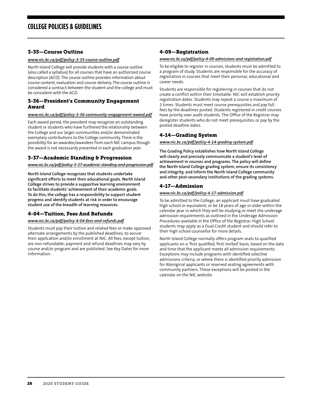#### <span id="page-26-0"></span>3-35—Course Outline

#### *www.nic.bc.ca/pdf/policy-3-35-course-outline.pdf*

North Island College will provide students with a course outline (also called a syllabus) for all courses that have an authorized course description (ACD). The course outline provides information about course content, evaluation and course delivery. The course outline is considered a contract between the student and the college and must be consistent with the ACD.

#### 3-36—President's Community Engagement Award

#### *www.nic.bc.ca/pdf/policy-3-36-community-engagement-award.pdf*

Each award period, the president may recognize an outstanding student or students who have furthered the relationship between the College and our larger communities and/or demonstrated exemplary contributions to the College community. There is the possibility for an awardee/awardees from each NIC campus though the award is not necessarily presented in each graduation year.

#### 3-37—Academic Standing & Progression

*www.nic.bc.ca/pdf/policy-3-37-academic-standing-and-progression.pdf*

**North Island College recognizes that students undertake significant efforts to meet their educational goals. North Island College strives to provide a supportive learning environment to facilitate students' achievement of their academic goals. To do this, the college has a responsibility to support student progress and identify students at risk in order to encourage student use of the breadth of learning resources.** 

#### 4-04—Tuition, Fees And Refunds

#### *www.nic.bc.ca/pdf/policy-4-04-fees-and-refunds.pdf*

Students must pay their tuition and related fees or make approved alternate arrangements by the published deadlines, to secure their application and/or enrollment at NIC. All fees, except tuition, are non-refundable; payment and refund deadlines may vary by course and/or program and are published. See Key Dates for more information.

#### 4-09—Registration

#### *www.nic.bc.ca/pdf/policy-4-09-admissions-and-registration.pdf*

To be eligible to register in courses, students must be admitted to a program of study. Students are responsible for the accuracy of registration in courses that meet their personal, educational and career needs.

Students are responsible for registering in courses that do not create a conflict within their timetable. NIC will establish priority registration dates. Students may repeat a course a maximum of 2 times. Students must meet course prerequisites and pay full fees by the deadlines posted. Students registered in credit courses have priority over audit students. The Office of the Registrar may deregister students who do not meet prerequisites, or pay by the posted deadline dates.

#### 4-14—Grading System

#### *www.nic.bc.ca/pdf/policy-4-14-grading-system.pdf*

**The Grading Policy establishes how North Island College will clearly and precisely communicate a student's level of achievement in courses and programs. The policy will define the North Island College grading system, ensure its consistency and integrity, and inform the North Island College community and other post-secondary institutions of the grading systems.**

#### 4-17—Admission

#### *www.nic.bc.ca/pdf/policy-4-17-admission.pdf*

To be admitted to the College, an applicant must have graduated high school or equivalent, or be 18 years of age or older within the calendar year in which they will be studying or meet the underage admission requirements as outlined in the Underage Admission Procedures available in the Office of the Registrar. High School students may apply as a Dual Credit student and should refer to their high school counsellor for more details.

North Island College normally offers program seats to qualified applicants on a 'first qualified, first invited' basis, based on the date and time that the applicant meets all admission requirements. Exceptions may include programs with identified selective admissions criteria, or where there is identified priority admission for Aboriginal applicants or reserved seating agreements with community partners. These exceptions will be posted in the calendar on the NIC website.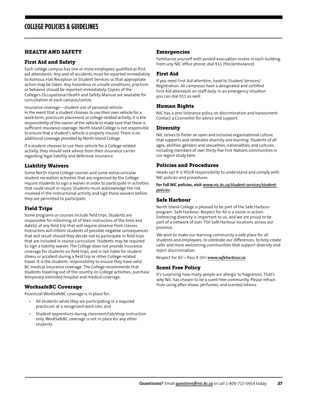#### <span id="page-27-0"></span>HEALTH AND SAFETY

#### First Aid and Safety

Each college campus has one or more employees qualified as first aid attendants. Any and all accidents must be reported immediately to Komoux Hall Reception or Student Services so that appropriate action may be taken. Any hazardous or unsafe conditions, practices or behavior should be reported immediately. Copies of the College's Occupational Health and Safety Manual are available for consultation at each campus/centre.

Insurance coverage—student use of personal vehicle: In the event that a student chooses to use their own vehicle for a work-term, practicum placement or college-related activity, it is the responsibility of the owner of the vehicle to make sure that there is sufficient insurance coverage. North Island College is not responsible to ensure that a student's vehicle is properly insured. There is no additional coverage provided by North Island College.

If a student chooses to use their vehicle for a College related activity, they should seek advice from their insurance carrier regarding legal liability and defensive insurance.

#### Liability Waivers

Some North Island College courses and some extracurricular student recreation activities that are organized by the College require students to sign a waiver in order to participate in activities that could result in injury. Students must acknowledge the risk involved in the instructional activity and sign these waivers before they are permitted to participate.

#### Field Trips

Some programs or courses include field trips. Students are responsible for informing all of their instructors of the time and date(s) of any field trip that will require absence from classes. Instructors will inform students of possible negative consequences that will result should they decide not to participate in field trips that are included in course curriculum. Students may be required to sign a liability waiver. The College does not provide insurance coverage for students on field trips, and is not liable for student illness or accident during a field trip or other College-related travel. It is the students' responsibility to ensure they have valid BC medical insurance coverage. The College recommends that students traveling out of the country on College activities, purchase temporary extended hospital and medical coverage.

#### WorksafeBC Coverage

Provincial WorkSafeBC coverage is in place for:

- All students while they are participating in a required practicum at a recognized work site; and
- Student apprentices during classroom/lab/shop instruction only. WorkSafeBC coverage is not in place for any other students.

#### **Emergencies**

Familiarize yourself with posted evacuation routes in each building. From any NIC office phone, dial 911 (fire/ambulance).

#### First Aid

If you need First Aid attention, head to Student Services/ Registration. All campuses have a designated and certified First Aid attendant on staff daily. In an emergency situation you can dial 911 as well.

#### Human Rights

NIC has a zero tolerance policy on discrimination and harassment. Contact a Counsellor for advice and support.

#### Diversity

NIC strives to foster an open and inclusive organizational culture that supports and celebrates diversity and learning. Students of all ages, abilities, genders and sexualities, nationalities, and cultures, including members of over thirty-five First Nations communities in our region study here.

#### Policies and Procedures

Heads up! It is YOUR responsibility to understand and comply with NIC policies and procedures.

**For full NIC policies, visit** *[www.nic.bc.ca/student-services/student](http://www.nic.bc.ca/student-services/student-policies)[policies](http://www.nic.bc.ca/student-services/student-policies)***.**

#### Safe Harbour

North Island College is pleased to be part of the Safe Harbour program. Safe Harbour: Respect for All is a vision in action. Embracing diversity is important to us, and we are proud to be part of a network of over 750 Safe Harbour locations across our province.

We wish to make our learning community a safe place for all students and employees, to celebrate our differences, to help create safer and more welcoming communities that support diversity and reject discrimination.

Respect for All—Pass It On! *[www.safeharbour.ca](http://www.safeharbour.ca)*

#### Scent Free Policy

It's surprising how many people are allergic to fragrances. That's why NIC has chosen to be a scent-free community. Please refrain from using after-shave, perfumes, and scented lotions.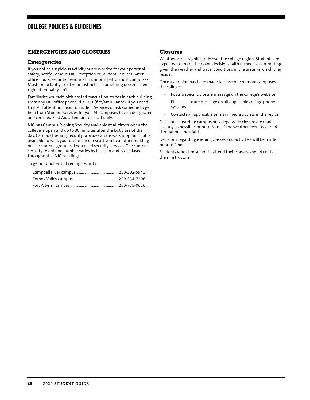#### <span id="page-28-0"></span>EMERGENCIES AND CLOSURES

#### Emergencies

If you notice suspicious activity or are worried for your personal safety, notify Komoux Hall Reception or Student Services. After office hours, security personnel in uniform patrol most campuses. Most importantly, trust your instincts. If something doesn't seem right, it probably isn't.

Familiarize yourself with posted evacuation routes in each building. From any NIC office phone, dial 911 (fire/ambulance). If you need First Aid attention, head to Student Services or ask someone to get help from Student Services for you. All campuses have a designated and certified First Aid attendant on staff daily.

NIC has Campus Evening Security available at all times when the college is open and up to 30 minutes after the last class of the day. Campus Evening Security provides a safe walk program that is available to walk you to your car or escort you to another building on the campus grounds if you need security services. The campus security telephone number varies by location and is displayed throughout al NIC buildings.

To get in touch with Evening Security:

#### Closures

Weather varies significantly over the college region. Students are expected to make their own decisions with respect to commuting given the weather and travel conditions in the areas in which they reside.

Once a decision has been made to close one or more campuses, the college:

- Posts a specific closure message on the college's website
- Places a closure message on all applicable college phone systems
- Contacts all applicable primary media outlets in the region

Decisions regarding campus or college-wide closure are made as early as possible, prior to 6 am, if the weather event occurred throughout the night.

Decisions regarding evening classes and activities will be made prior to 2 pm.

Students who choose not to attend their classes should contact their instructors.